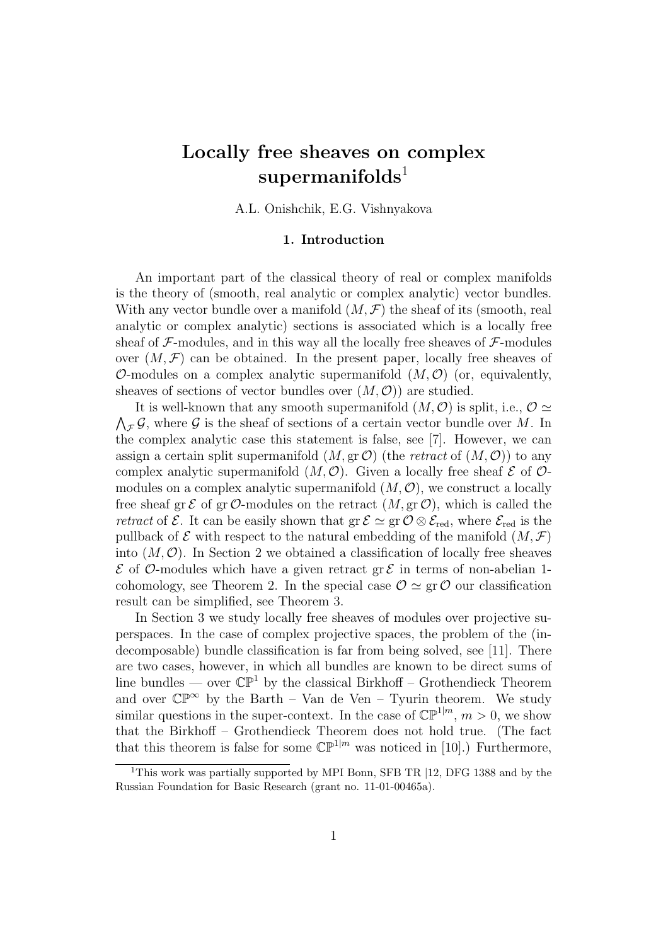# Locally free sheaves on complex  $supermanifolds<sup>1</sup>$

A.L. Onishchik, E.G. Vishnyakova

# 1. Introduction

An important part of the classical theory of real or complex manifolds is the theory of (smooth, real analytic or complex analytic) vector bundles. With any vector bundle over a manifold  $(M, \mathcal{F})$  the sheaf of its (smooth, real analytic or complex analytic) sections is associated which is a locally free sheaf of  $\mathcal{F}\text{-modules}$ , and in this way all the locally free sheaves of  $\mathcal{F}\text{-modules}$ over  $(M, \mathcal{F})$  can be obtained. In the present paper, locally free sheaves of O-modules on a complex analytic supermanifold  $(M, \mathcal{O})$  (or, equivalently, sheaves of sections of vector bundles over  $(M, \mathcal{O})$  are studied.

It is well-known that any smooth supermanifold  $(M, \mathcal{O})$  is split, i.e.,  $\mathcal{O} \simeq$  $\lambda$  $\mathcal{F}$ , where  $\mathcal G$  is the sheaf of sections of a certain vector bundle over M. In the complex analytic case this statement is false, see [7]. However, we can assign a certain split supermanifold  $(M, \text{gr }\mathcal{O})$  (the *retract* of  $(M, \mathcal{O})$ ) to any complex analytic supermanifold  $(M, \mathcal{O})$ . Given a locally free sheaf  $\mathcal E$  of  $\mathcal O$ modules on a complex analytic supermanifold  $(M, \mathcal{O})$ , we construct a locally free sheaf gr  $\mathcal E$  of gr  $\mathcal O$ -modules on the retract  $(M, \text{gr } \mathcal O)$ , which is called the *retract* of  $\mathcal{E}$ . It can be easily shown that  $gr \mathcal{E} \simeq gr \mathcal{O} \otimes \mathcal{E}_{red}$ , where  $\mathcal{E}_{red}$  is the pullback of  $\mathcal E$  with respect to the natural embedding of the manifold  $(M, \mathcal F)$ into  $(M, \mathcal{O})$ . In Section 2 we obtained a classification of locally free sheaves  $\mathcal E$  of  $\mathcal O$ -modules which have a given retract gr  $\mathcal E$  in terms of non-abelian 1cohomology, see Theorem 2. In the special case  $\mathcal{O} \simeq \text{gr } \mathcal{O}$  our classification result can be simplified, see Theorem 3.

In Section 3 we study locally free sheaves of modules over projective superspaces. In the case of complex projective spaces, the problem of the (indecomposable) bundle classification is far from being solved, see [11]. There are two cases, however, in which all bundles are known to be direct sums of line bundles — over  $\mathbb{CP}^1$  by the classical Birkhoff – Grothendieck Theorem and over  $\mathbb{CP}^{\infty}$  by the Barth – Van de Ven – Tyurin theorem. We study similar questions in the super-context. In the case of  $\mathbb{CP}^{1|m}$ ,  $m > 0$ , we show that the Birkhoff – Grothendieck Theorem does not hold true. (The fact that this theorem is false for some  $\mathbb{CP}^{1|m}$  was noticed in [10].) Furthermore,

<sup>&</sup>lt;sup>1</sup>This work was partially supported by MPI Bonn, SFB TR |12, DFG 1388 and by the Russian Foundation for Basic Research (grant no. 11-01-00465a).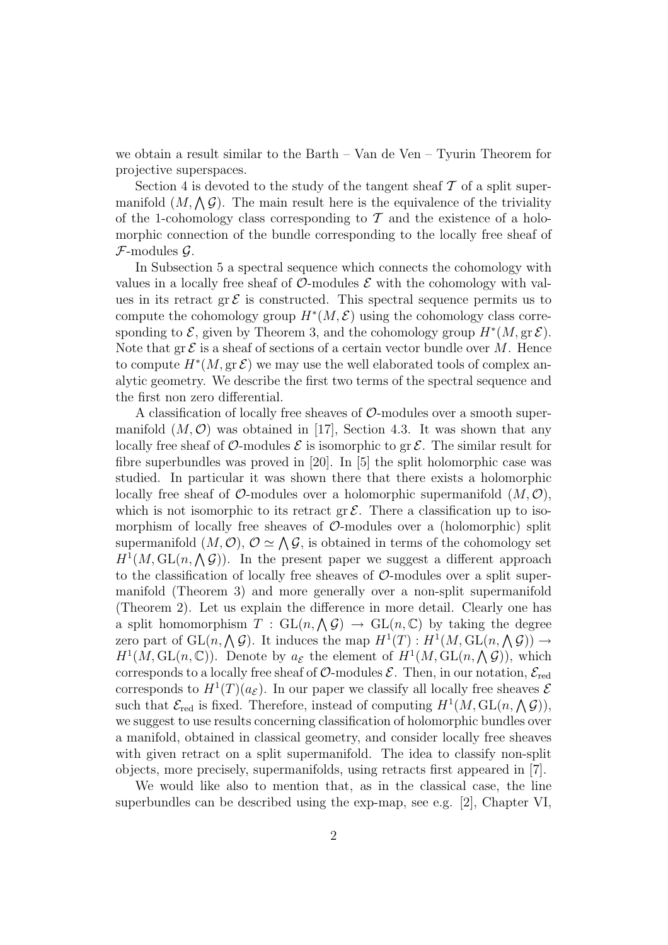we obtain a result similar to the Barth – Van de Ven – Tyurin Theorem for projective superspaces.

Section 4 is devoted to the study of the tangent sheaf  $\mathcal T$  of a split super-Section 4 is devoted to the study of the tangent shear 2 of a spin super-<br>manifold  $(M, \Lambda, \mathcal{G})$ . The main result here is the equivalence of the triviality of the 1-cohomology class corresponding to  $\mathcal T$  and the existence of a holomorphic connection of the bundle corresponding to the locally free sheaf of  $\mathcal{F}\text{-modules } \mathcal{G}.$ 

In Subsection 5 a spectral sequence which connects the cohomology with values in a locally free sheaf of  $\mathcal{O}\text{-modules } \mathcal{E}$  with the cohomology with values in its retract gr  $\mathcal E$  is constructed. This spectral sequence permits us to compute the cohomology group  $H^*(M, \mathcal{E})$  using the cohomology class corresponding to  $\mathcal{E}$ , given by Theorem 3, and the cohomology group  $H^*(M, \text{gr }\mathcal{E})$ . Note that  $\operatorname{gr} \mathcal{E}$  is a sheaf of sections of a certain vector bundle over M. Hence to compute  $H^*(M, \text{gr }\mathcal{E})$  we may use the well elaborated tools of complex analytic geometry. We describe the first two terms of the spectral sequence and the first non zero differential.

A classification of locally free sheaves of  $\mathcal{O}$ -modules over a smooth supermanifold  $(M, \mathcal{O})$  was obtained in [17], Section 4.3. It was shown that any locally free sheaf of  $\mathcal O$ -modules  $\mathcal E$  is isomorphic to gr  $\mathcal E$ . The similar result for fibre superbundles was proved in [20]. In [5] the split holomorphic case was studied. In particular it was shown there that there exists a holomorphic locally free sheaf of  $\mathcal{O}\text{-modules}$  over a holomorphic supermanifold  $(M, \mathcal{O})$ , which is not isomorphic to its retract  $gr \mathcal{E}$ . There a classification up to isomorphism of locally free sheaves of  $\mathcal{O}$ -modules over a (holomorphic) split morphism of locally free sheaves of  $\mathcal O$ -modules over a (holomorphic) spin<br>supermanifold  $(M, \mathcal O)$ ,  $\mathcal O \simeq \bigwedge \mathcal G$ , is obtained in terms of the cohomology set supermannoid  $(M, \mathcal{O})$ ,  $\mathcal{O} \cong \bigwedge \mathcal{G}$ , is obtained in terms of the conomology set  $H^1(M, GL(n, \Lambda \mathcal{G}))$ . In the present paper we suggest a different approach to the classification of locally free sheaves of  $\mathcal{O}$ -modules over a split supermanifold (Theorem 3) and more generally over a non-split supermanifold (Theorem 2). Let us explain the difference in more detail. Clearly one has (Theorem 2). Let us explain the difference in more detail. Clearly one has<br>a split homomorphism  $T : GL(n, \Lambda \mathcal{G}) \to GL(n, \mathbb{C})$  by taking the degree a spin nomomorphism  $I : GL(n, \Lambda) \to GL(n, \mathbb{C})$  by taking the degree<br>zero part of  $GL(n, \Lambda)$ . It induces the map  $H^1(T) : H^1(M, GL(n, \Lambda) \to$ zero part of  $GL(n, \wedge g)$ . It modes the map  $H^1(I)$ :  $H^1(M, GL(n, \wedge g)) \to$ <br> $H^1(M, GL(n, \mathbb{C}))$ . Denote by  $a_{\mathcal{E}}$  the element of  $H^1(M, GL(n, \wedge g))$ , which corresponds to a locally free sheaf of  $\mathcal{O}\text{-modules } \mathcal{E}$ . Then, in our notation,  $\mathcal{E}_{\text{red}}$ corresponds to  $H^1(T)(a_{\mathcal{E}})$ . In our paper we classify all locally free sheaves  $\mathcal{E}$ corresponds to  $H^{-}(I)(\alpha_{\mathcal{E}})$ . In our paper we classify an locally free sheaves  $\mathcal{E}$ <br>such that  $\mathcal{E}_{red}$  is fixed. Therefore, instead of computing  $H^1(M,\operatorname{GL}(n,\bigwedge \mathcal{G})),$ we suggest to use results concerning classification of holomorphic bundles over a manifold, obtained in classical geometry, and consider locally free sheaves with given retract on a split supermanifold. The idea to classify non-split objects, more precisely, supermanifolds, using retracts first appeared in [7].

We would like also to mention that, as in the classical case, the line superbundles can be described using the exp-map, see e.g. [2], Chapter VI,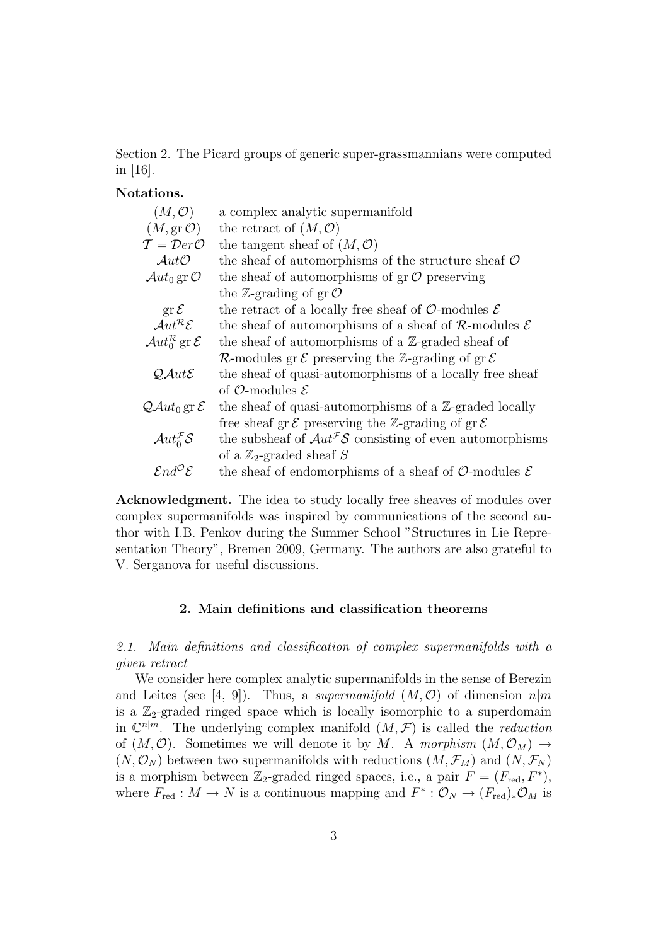Section 2. The Picard groups of generic super-grassmannians were computed in [16].

# Notations.

| $(M, \mathcal{O})$                                 | a complex analytic supermanifold                                                  |
|----------------------------------------------------|-----------------------------------------------------------------------------------|
| $(M, \text{gr }\mathcal{O})$                       | the retract of $(M, \mathcal{O})$                                                 |
| $\mathcal{T} = \mathcal{D}er\mathcal{O}$           | the tangent sheaf of $(M, \mathcal{O})$                                           |
|                                                    |                                                                                   |
| $Aut\mathcal{O}$                                   | the sheaf of automorphisms of the structure sheaf $\mathcal O$                    |
| $\mathcal{A}ut_0$ gr $\mathcal O$                  | the sheaf of automorphisms of $gr \mathcal{O}$ preserving                         |
|                                                    | the Z-grading of $gr \mathcal{O}$                                                 |
| $\operatorname{gr} \mathcal{E}$                    | the retract of a locally free sheaf of $\mathcal{O}\text{-modules } \mathcal{E}$  |
| $Aut^{\mathcal{R}}\mathcal{E}$                     | the sheaf of automorphisms of a sheaf of $\mathcal{R}$ -modules $\mathcal E$      |
| $\mathcal{A}ut_0^{\mathcal{R}}$ gr $\mathcal{E}$   | the sheaf of automorphisms of a $\mathbb{Z}$ -graded sheaf of                     |
|                                                    | R-modules gr $\mathcal E$ preserving the Z-grading of gr $\mathcal E$             |
| $QAut\mathcal{E}$                                  | the sheaf of quasi-automorphisms of a locally free sheaf                          |
|                                                    | of O-modules $\mathcal E$                                                         |
| $\mathcal{Q}Aut_0$ gr $\mathcal{E}$                | the sheaf of quasi-automorphisms of a $\mathbb{Z}$ -graded locally                |
|                                                    | free sheaf gr $\mathcal E$ preserving the Z-grading of gr $\mathcal E$            |
| $\mathcal{A}ut_{\bar{0}}^{\mathcal{F}}\mathcal{S}$ | the subsheaf of $Aut^{\mathcal{F}}S$ consisting of even automorphisms             |
|                                                    | of a $\mathbb{Z}_2$ -graded sheaf S                                               |
| $\mathcal{E}nd^{\mathcal{O}}\mathcal{E}$           | the sheaf of endomorphisms of a sheaf of $\mathcal{O}\text{-modules }\mathcal{E}$ |

Acknowledgment. The idea to study locally free sheaves of modules over complex supermanifolds was inspired by communications of the second author with I.B. Penkov during the Summer School "Structures in Lie Representation Theory", Bremen 2009, Germany. The authors are also grateful to V. Serganova for useful discussions.

# 2. Main definitions and classification theorems

2.1. Main definitions and classification of complex supermanifolds with a given retract

We consider here complex analytic supermanifolds in the sense of Berezin and Leites (see [4, 9]). Thus, a supermanifold  $(M, \mathcal{O})$  of dimension  $n|m$ is a  $\mathbb{Z}_2$ -graded ringed space which is locally isomorphic to a superdomain in  $\mathbb{C}^{n|m}$ . The underlying complex manifold  $(M,\mathcal{F})$  is called the *reduction* of  $(M, \mathcal{O})$ . Sometimes we will denote it by M. A morphism  $(M, \mathcal{O}_M) \rightarrow$  $(N, \mathcal{O}_N)$  between two supermanifolds with reductions  $(M, \mathcal{F}_M)$  and  $(N, \mathcal{F}_N)$ is a morphism between  $\mathbb{Z}_2$ -graded ringed spaces, i.e., a pair  $F = (F_{\text{red}}, F^*)$ , where  $F_{\text{red}} : M \to N$  is a continuous mapping and  $F^* : \mathcal{O}_N \to (F_{\text{red}})_* \mathcal{O}_M$  is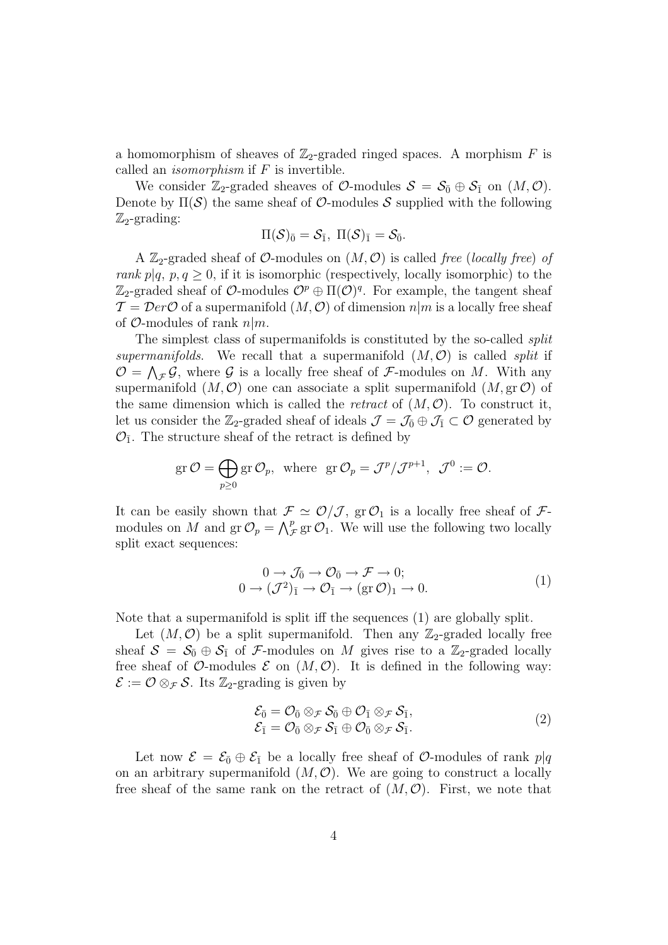a homomorphism of sheaves of  $\mathbb{Z}_2$ -graded ringed spaces. A morphism F is called an *isomorphism* if  $F$  is invertible.

We consider  $\mathbb{Z}_2$ -graded sheaves of  $\mathcal{O}\text{-modules } \mathcal{S} = \mathcal{S}_0 \oplus \mathcal{S}_1$  on  $(M, \mathcal{O})$ . Denote by  $\Pi(\mathcal{S})$  the same sheaf of  $\mathcal{O}$ -modules  $\mathcal{S}$  supplied with the following  $\mathbb{Z}_2$ -grading:

$$
\Pi(\mathcal{S})_{\bar{0}}=\mathcal{S}_{\bar{1}},\ \Pi(\mathcal{S})_{\bar{1}}=\mathcal{S}_{\bar{0}}.
$$

A  $\mathbb{Z}_2$ -graded sheaf of *O*-modules on  $(M, \mathcal{O})$  is called free (locally free) of rank  $p|q, p, q \geq 0$ , if it is isomorphic (respectively, locally isomorphic) to the  $\mathbb{Z}_2$ -graded sheaf of  $\mathcal{O}\text{-modules } \mathcal{O}^p \oplus \Pi(\mathcal{O})^q$ . For example, the tangent sheaf  $\mathcal{T} = \mathcal{D}er\mathcal{O}$  of a supermanifold  $(M, \mathcal{O})$  of dimension  $n|m$  is a locally free sheaf of  $\mathcal{O}$ -modules of rank  $n|m$ .

The simplest class of supermanifolds is constituted by the so-called *split* supermanifolds. We recall that a supermanifold  $(M, \mathcal{O})$  is called *split* if  $\mathcal{O} = \bigwedge_{\mathcal{F}} \mathcal{G}$ , where  $\mathcal G$  is a locally free sheaf of  $\mathcal{F}\text{-modules on }M$ . With any supermanifold  $(M, \mathcal{O})$  one can associate a split supermanifold  $(M, \text{gr } \mathcal{O})$  of the same dimension which is called the *retract* of  $(M, \mathcal{O})$ . To construct it, let us consider the  $\mathbb{Z}_2$ -graded sheaf of ideals  $\mathcal{J} = \mathcal{J}_0 \oplus \mathcal{J}_1 \subset \mathcal{O}$  generated by  $\mathcal{O}_{\bar{1}}$ . The structure sheaf of the retract is defined by

$$
\text{gr}\,\mathcal{O}=\bigoplus_{p\geq 0}\text{gr}\,\mathcal{O}_p,\ \ \text{where}\ \ \text{gr}\,\mathcal{O}_p=\mathcal{J}^p/\mathcal{J}^{p+1},\ \ \mathcal{J}^0:=\mathcal{O}.
$$

It can be easily shown that  $\mathcal{F} \simeq \mathcal{O}/\mathcal{J}$ , gr $\mathcal{O}_1$  is a locally free sheaf of  $\mathcal{F}$ -It can be easily shown that  $\mathcal{F}$ <br>modules on M and  $gr \mathcal{O}_p = \bigwedge^p_p$  $_{\mathcal{F}}^{p}$  gr  $\mathcal{O}_{1}$ . We will use the following two locally split exact sequences:

$$
0 \to \mathcal{J}_{\bar{0}} \to \mathcal{O}_{\bar{0}} \to \mathcal{F} \to 0; 0 \to (\mathcal{J}^2)_{\bar{1}} \to \mathcal{O}_{\bar{1}} \to (\text{gr } \mathcal{O})_1 \to 0.
$$
 (1)

Note that a supermanifold is split iff the sequences (1) are globally split.

Let  $(M, \mathcal{O})$  be a split supermanifold. Then any  $\mathbb{Z}_2$ -graded locally free sheaf  $S = S_0 \oplus S_1$  of F-modules on M gives rise to a Z<sub>2</sub>-graded locally free sheaf of O-modules  $\mathcal E$  on  $(M, \mathcal O)$ . It is defined in the following way:  $\mathcal{E} := \mathcal{O} \otimes_{\mathcal{F}} \mathcal{S}$ . Its  $\mathbb{Z}_2$ -grading is given by

$$
\mathcal{E}_{\bar{0}} = \mathcal{O}_{\bar{0}} \otimes_{\mathcal{F}} \mathcal{S}_{\bar{0}} \oplus \mathcal{O}_{\bar{1}} \otimes_{\mathcal{F}} \mathcal{S}_{\bar{1}}, \n\mathcal{E}_{\bar{1}} = \mathcal{O}_{\bar{0}} \otimes_{\mathcal{F}} \mathcal{S}_{\bar{1}} \oplus \mathcal{O}_{\bar{0}} \otimes_{\mathcal{F}} \mathcal{S}_{\bar{1}}.
$$
\n(2)

Let now  $\mathcal{E} = \mathcal{E}_{\bar{0}} \oplus \mathcal{E}_{\bar{1}}$  be a locally free sheaf of  $\mathcal{O}$ -modules of rank  $p|q$ on an arbitrary supermanifold  $(M, \mathcal{O})$ . We are going to construct a locally free sheaf of the same rank on the retract of  $(M, \mathcal{O})$ . First, we note that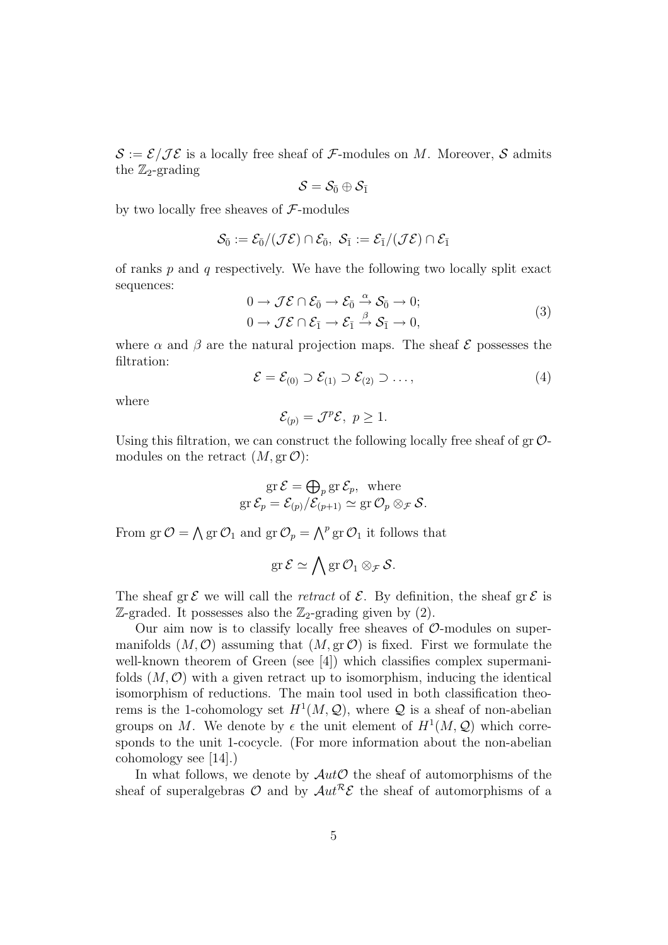$\mathcal{S} := \mathcal{E}/\mathcal{I}\mathcal{E}$  is a locally free sheaf of  $\mathcal{F}\text{-modules on }M$ . Moreover,  $\mathcal{S}$  admits the  $\mathbb{Z}_2$ -grading

$$
\mathcal{S}=\mathcal{S}_{\bar{0}}\oplus \mathcal{S}_{\bar{1}}
$$

by two locally free sheaves of  $\mathcal{F}\text{-modules}$ 

$$
\mathcal{S}_{\bar{0}}:=\mathcal{E}_{\bar{0}}/(\mathcal{J}\mathcal{E})\cap \mathcal{E}_{\bar{0}},\,\,\mathcal{S}_{\bar{1}}:=\mathcal{E}_{\bar{1}}/(\mathcal{J}\mathcal{E})\cap \mathcal{E}_{\bar{1}}
$$

of ranks  $p$  and  $q$  respectively. We have the following two locally split exact sequences:

$$
0 \to \mathcal{J}\mathcal{E} \cap \mathcal{E}_{\bar{0}} \to \mathcal{E}_{\bar{0}} \xrightarrow{\alpha} \mathcal{S}_{\bar{0}} \to 0; 0 \to \mathcal{J}\mathcal{E} \cap \mathcal{E}_{\bar{1}} \to \mathcal{E}_{\bar{1}} \xrightarrow{\beta} \mathcal{S}_{\bar{1}} \to 0,
$$
 (3)

where  $\alpha$  and  $\beta$  are the natural projection maps. The sheaf  $\mathcal E$  possesses the filtration:

$$
\mathcal{E} = \mathcal{E}_{(0)} \supset \mathcal{E}_{(1)} \supset \mathcal{E}_{(2)} \supset \dots,
$$
 (4)

where

$$
\mathcal{E}_{(p)} = \mathcal{J}^p \mathcal{E}, \ p \ge 1.
$$

Using this filtration, we can construct the following locally free sheaf of  $\text{gr }\mathcal{O}$ modules on the retract  $(M, \text{gr }\mathcal{O})$ :

$$
\operatorname{gr} \mathcal{E} = \bigoplus_{p} \operatorname{gr} \mathcal{E}_p, \text{ where}
$$
  

$$
\operatorname{gr} \mathcal{E}_p = \mathcal{E}_{(p)} / \mathcal{E}_{(p+1)} \simeq \operatorname{gr} \mathcal{O}_p \otimes_{\mathcal{F}} \mathcal{S}.
$$

From  $gr \mathcal{O} =$  $\lambda$ gr  $\mathcal{O}_1$  and gr  $\mathcal{O}_p = \bigwedge^p$  gr  $\mathcal{O}_1$  it follows that

$$
\operatorname{gr} \mathcal{E} \simeq \bigwedge \operatorname{gr} \mathcal{O}_1 \otimes_{\mathcal{F}} \mathcal{S}.
$$

The sheaf gr  $\mathcal E$  we will call the *retract* of  $\mathcal E$ . By definition, the sheaf gr  $\mathcal E$  is  $\mathbb{Z}$ -graded. It possesses also the  $\mathbb{Z}_2$ -grading given by (2).

Our aim now is to classify locally free sheaves of  $\mathcal{O}\text{-modules}$  on supermanifolds  $(M, \mathcal{O})$  assuming that  $(M, \text{gr } \mathcal{O})$  is fixed. First we formulate the well-known theorem of Green (see [4]) which classifies complex supermanifolds  $(M, \mathcal{O})$  with a given retract up to isomorphism, inducing the identical isomorphism of reductions. The main tool used in both classification theorems is the 1-cohomology set  $H^1(M, \mathcal{Q})$ , where  $\mathcal Q$  is a sheaf of non-abelian groups on M. We denote by  $\epsilon$  the unit element of  $H^1(M, \mathcal{Q})$  which corresponds to the unit 1-cocycle. (For more information about the non-abelian cohomology see [14].)

In what follows, we denote by  $\mathcal{A}ut\mathcal{O}$  the sheaf of automorphisms of the sheaf of superalgebras  $\mathcal O$  and by  $\mathcal{A}ut^{\mathcal{R}}\mathcal{E}$  the sheaf of automorphisms of a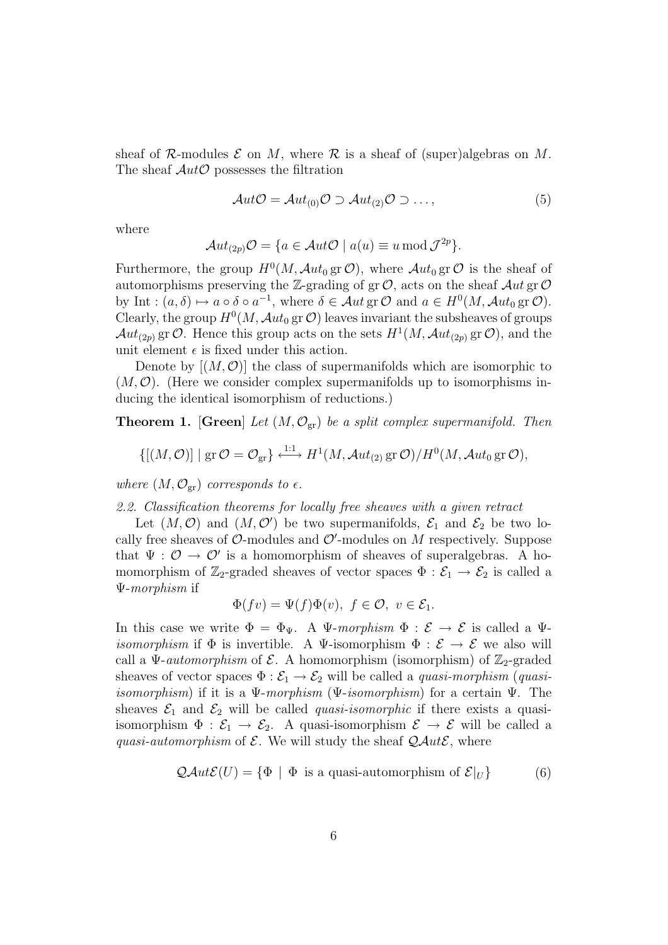sheaf of R-modules  $\mathcal E$  on M, where R is a sheaf of (super)algebras on M. The sheaf  $Aut\mathcal{O}$  possesses the filtration

$$
Aut\mathcal{O} = Aut_{(0)}\mathcal{O} \supset Aut_{(2)}\mathcal{O} \supset \dots,
$$
 (5)

where

$$
\mathcal{A}ut_{(2p)}\mathcal{O}=\{a\in\mathcal{A}ut\mathcal{O}\mid a(u)\equiv u\operatorname{mod}\mathcal{J}^{2p}\}.
$$

Furthermore, the group  $H^0(M, \mathcal{A}ut_0 \text{ gr }\mathcal{O})$ , where  $\mathcal{A}ut_0 \text{ gr }\mathcal{O}$  is the sheaf of automorphisms preserving the Z-grading of gr $O$ , acts on the sheaf  $Aut$  gr $O$ by Int :  $(a, \delta) \mapsto a \circ \delta \circ a^{-1}$ , where  $\delta \in \mathcal{A}ut$  gr  $\mathcal{O}$  and  $a \in H^0(M, \mathcal{A}ut_0$  gr  $\mathcal{O})$ . Clearly, the group  $H^0(M, \mathcal{A}ut_0 \text{ gr}\mathcal{O})$  leaves invariant the subsheaves of groups  $\mathcal{A}ut_{(2p)}$  gr  $\mathcal{O}$ . Hence this group acts on the sets  $H^1(M, \mathcal{A}ut_{(2p)}$  gr  $\mathcal{O})$ , and the unit element  $\epsilon$  is fixed under this action.

Denote by  $[(M, O)]$  the class of supermanifolds which are isomorphic to  $(M, \mathcal{O})$ . (Here we consider complex supermanifolds up to isomorphisms inducing the identical isomorphism of reductions.)

**Theorem 1.** [Green] Let  $(M, \mathcal{O}_{gr})$  be a split complex supermanifold. Then

$$
\{[(M,\mathcal{O})] \mid \text{gr }\mathcal{O}=\mathcal{O}_{\text{gr}}\} \xrightarrow{1:1} H^1(M,\mathcal{A}ut_{(2)} \text{ gr }\mathcal{O})/H^0(M,\mathcal{A}ut_{0} \text{ gr }\mathcal{O}),
$$

where  $(M, \mathcal{O}_{gr})$  corresponds to  $\epsilon$ .

2.2. Classification theorems for locally free sheaves with a given retract

Let  $(M, \mathcal{O})$  and  $(M, \mathcal{O}')$  be two supermanifolds,  $\mathcal{E}_1$  and  $\mathcal{E}_2$  be two locally free sheaves of  $\mathcal{O}\text{-modules}$  and  $\mathcal{O}'\text{-modules}$  on M respectively. Suppose that  $\Psi : \mathcal{O} \to \mathcal{O}'$  is a homomorphism of sheaves of superalgebras. A homomorphism of  $\mathbb{Z}_2$ -graded sheaves of vector spaces  $\Phi : \mathcal{E}_1 \to \mathcal{E}_2$  is called a Ψ-morphism if

$$
\Phi(fv) = \Psi(f)\Phi(v), \ f \in \mathcal{O}, \ v \in \mathcal{E}_1.
$$

In this case we write  $\Phi = \Phi_{\Psi}$ . A  $\Psi$ -morphism  $\Phi : \mathcal{E} \to \mathcal{E}$  is called a  $\Psi$ *isomorphism* if  $\Phi$  is invertible. A V-isomorphism  $\Phi : \mathcal{E} \to \mathcal{E}$  we also will call a  $\Psi$ -*automorphism* of  $\mathcal{E}$ . A homomorphism (isomorphism) of  $\mathbb{Z}_2$ -graded sheaves of vector spaces  $\Phi : \mathcal{E}_1 \to \mathcal{E}_2$  will be called a *quasi-morphism* (*quasiisomorphism*) if it is a  $\Psi$ -morphism ( $\Psi$ -isomorphism) for a certain  $\Psi$ . The sheaves  $\mathcal{E}_1$  and  $\mathcal{E}_2$  will be called *quasi-isomorphic* if there exists a quasiisomorphism  $\Phi : \mathcal{E}_1 \to \mathcal{E}_2$ . A quasi-isomorphism  $\mathcal{E} \to \mathcal{E}$  will be called a quasi-automorphism of  $\mathcal E$ . We will study the sheaf  $\mathcal Q\mathcal Aut\mathcal E$ , where

$$
QAut\mathcal{E}(U) = \{ \Phi \mid \Phi \text{ is a quasi-automorphism of } \mathcal{E}|_U \}
$$
 (6)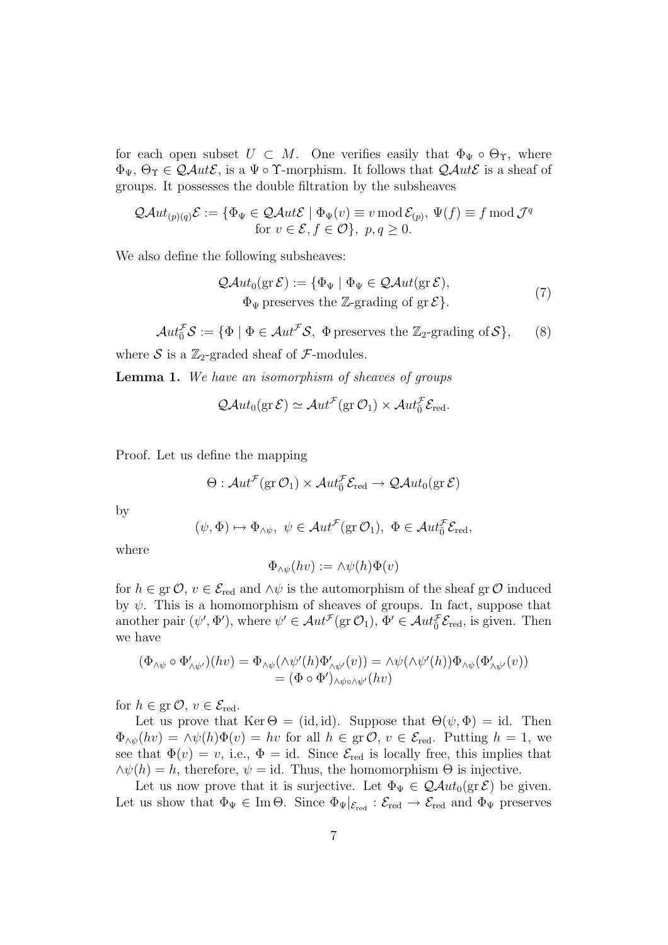for each open subset  $U \subset M$ . One verifies easily that  $\Phi_{\Psi} \circ \Theta_{\Upsilon}$ , where  $\Phi_{\Psi}$ ,  $\Theta_{\Upsilon} \in \mathcal{QAut}\mathcal{E}$ , is a  $\Psi \circ \Upsilon$ -morphism. It follows that  $\mathcal{QAut}\mathcal{E}$  is a sheaf of groups. It possesses the double filtration by the subsheaves

$$
\mathcal{Q}Aut_{(p)(q)}\mathcal{E} := \{ \Phi_{\Psi} \in \mathcal{Q}Aut\mathcal{E} \mid \Phi_{\Psi}(v) \equiv v \mod \mathcal{E}_{(p)}, \Psi(f) \equiv f \mod \mathcal{J}^q \}
$$
  
for  $v \in \mathcal{E}, f \in \mathcal{O} \}$ ,  $p, q \ge 0$ .

We also define the following subsheaves:

$$
\mathcal{Q}Aut_0(\text{gr }\mathcal{E}) := \{ \Phi_{\Psi} \mid \Phi_{\Psi} \in \mathcal{Q}Aut(\text{gr }\mathcal{E}),
$$
  
 
$$
\Phi_{\Psi} \text{ preserves the } \mathbb{Z}\text{-grading of } \text{gr }\mathcal{E} \}. \tag{7}
$$

 $Aut_{\bar{0}}^{\mathcal{F}} \mathcal{S} := {\Phi \mid \Phi \in Aut^{\mathcal{F}} \mathcal{S}, \ \Phi \text{ preserves the } \mathbb{Z}_2\text{-grading of } \mathcal{S}}, \qquad (8)$ 

where S is a  $\mathbb{Z}_2$ -graded sheaf of F-modules.

Lemma 1. We have an isomorphism of sheaves of groups

$$
\mathcal{Q}\mathcal{A}ut_0(\text{gr}\,\mathcal{E})\simeq \mathcal{A}ut^{\mathcal{F}}(\text{gr}\,\mathcal{O}_1)\times \mathcal{A}ut_0^{\mathcal{F}}\mathcal{E}_{\text{red}}.
$$

Proof. Let us define the mapping

$$
\Theta: \mathcal{A}ut^{\mathcal{F}}(\text{gr }\mathcal{O}_1)\times \mathcal{A}ut^{\mathcal{F}}_0\mathcal{E}_{\text{red}} \to \mathcal{Q}\mathcal{A}ut_0(\text{gr }\mathcal{E})
$$

by

$$
(\psi, \Phi) \mapsto \Phi_{\wedge \psi}, \ \psi \in \mathcal{A}ut^{\mathcal{F}}(\text{gr }\mathcal{O}_{1}), \ \Phi \in \mathcal{A}ut^{\mathcal{F}}_{0} \mathcal{E}_{\text{red}},
$$

where

$$
\Phi_{\wedge \psi}(hv) := \wedge \psi(h)\Phi(v)
$$

for  $h \in \text{gr } \mathcal{O}, v \in \mathcal{E}_{\text{red}}$  and  $\wedge \psi$  is the automorphism of the sheaf gr $\mathcal O$  induced by  $\psi$ . This is a homomorphism of sheaves of groups. In fact, suppose that another pair  $(\psi', \Phi')$ , where  $\psi' \in \mathcal{A}ut^{\mathcal{F}}(\text{gr }\mathcal{O}_1), \Phi' \in \mathcal{A}ut^{\mathcal{F}}_0\mathcal{E}_{\text{red}}$ , is given. Then we have

$$
(\Phi_{\wedge\psi}\circ\Phi'_{\wedge\psi'})(hv) = \Phi_{\wedge\psi}(\wedge\psi'(h)\Phi'_{\wedge\psi'}(v)) = \wedge\psi(\wedge\psi'(h))\Phi_{\wedge\psi}(\Phi'_{\wedge\psi'}(v))
$$
  
= 
$$
(\Phi\circ\Phi')_{\wedge\psi\circ\wedge\psi'}(hv)
$$

for  $h \in \text{gr } \mathcal{O}, v \in \mathcal{E}_{\text{red}}.$ 

Let us prove that Ker  $\Theta = (id, id)$ . Suppose that  $\Theta(\psi, \Phi) = id$ . Then  $\Phi_{\wedge\psi}(hv) = \wedge\psi(h)\Phi(v) = hv$  for all  $h \in \text{gr } \mathcal{O}, v \in \mathcal{E}_{\text{red}}$ . Putting  $h = 1$ , we see that  $\Phi(v) = v$ , i.e.,  $\Phi = id$ . Since  $\mathcal{E}_{red}$  is locally free, this implies that  $\wedge \psi(h) = h$ , therefore,  $\psi = id$ . Thus, the homomorphism  $\Theta$  is injective.

Let us now prove that it is surjective. Let  $\Phi_{\Psi} \in \mathcal{Q}Aut_0(\text{gr }\mathcal{E})$  be given. Let us show that  $\Phi_{\Psi} \in \text{Im}\,\Theta$ . Since  $\Phi_{\Psi}|_{\mathcal{E}_{\text{red}}} : \mathcal{E}_{\text{red}} \to \mathcal{E}_{\text{red}}$  and  $\Phi_{\Psi}$  preserves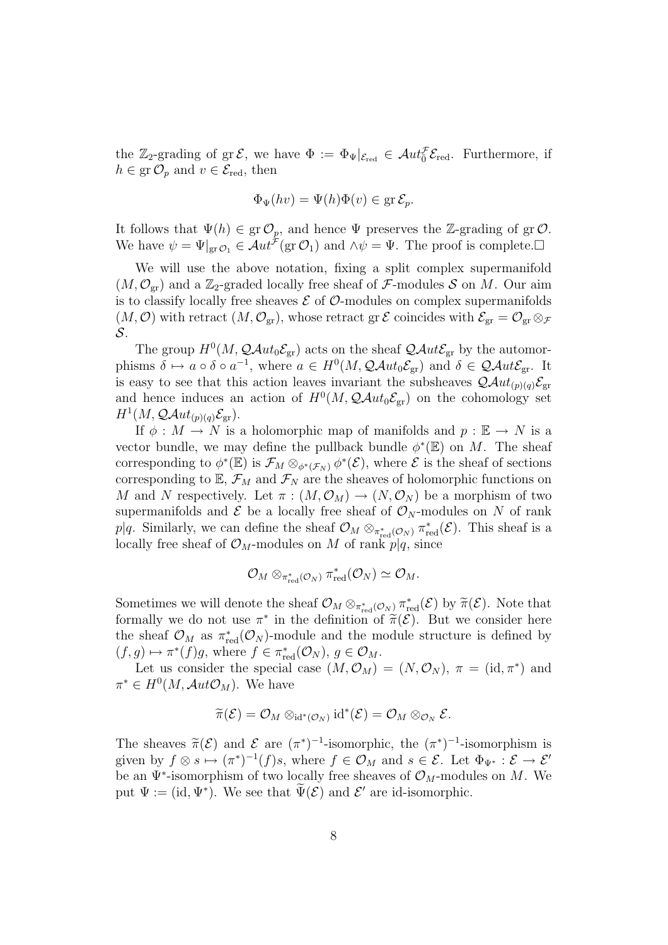the  $\mathbb{Z}_2$ -grading of gr $\mathcal{E}$ , we have  $\Phi := \Phi_{\Psi}|_{\mathcal{E}_{red}} \in \mathcal{A}ut_{\overline{0}}^{\mathcal{F}} \mathcal{E}_{red}$ . Furthermore, if  $h \in \text{gr } \mathcal{O}_p$  and  $v \in \mathcal{E}_{\text{red}}$ , then

$$
\Phi_{\Psi}(hv) = \Psi(h)\Phi(v) \in \operatorname{gr} \mathcal{E}_p.
$$

It follows that  $\Psi(h) \in \text{gr } \mathcal{O}_p$ , and hence  $\Psi$  preserves the Z-grading of gr $\mathcal{O}$ . We have  $\psi = \Psi|_{\text{gr}\mathcal{O}_1} \in \mathcal{A}ut^{\mathcal{F}}(\text{gr}\mathcal{O}_1)$  and  $\wedge \psi = \Psi$ . The proof is complete.

We will use the above notation, fixing a split complex supermanifold  $(M, \mathcal{O}_{gr})$  and a Z<sub>2</sub>-graded locally free sheaf of F-modules S on M. Our aim is to classify locally free sheaves  $\mathcal E$  of  $\mathcal O$ -modules on complex supermanifolds  $(M, \mathcal{O})$  with retract  $(M, \mathcal{O}_{gr})$ , whose retract gr  $\mathcal E$  coincides with  $\mathcal E_{gr} = \mathcal O_{gr} \otimes_{\mathcal F}$ S.

The group  $H^0(M, \mathcal{Q}Aut_0\mathcal{E}_{gr})$  acts on the sheaf  $\mathcal{Q}Aut\mathcal{E}_{gr}$  by the automorphisms  $\delta \mapsto a \circ \delta \circ a^{-1}$ , where  $a \in H^0(M, \mathcal{Q}Aut_0\mathcal{E}_{gr})$  and  $\delta \in \mathcal{Q}Aut\mathcal{E}_{gr}$ . It is easy to see that this action leaves invariant the subsheaves  $\mathcal{Q}Aut_{(p)(q)}\mathcal{E}_{gr}$ and hence induces an action of  $H^0(M, \mathcal{Q}Aut_0\mathcal{E}_{gr})$  on the cohomology set  $H^1(M,\mathcal{Q}Aut_{(p)(q)}\mathcal{E}_{\text{gr}}).$ 

If  $\phi : M \to N$  is a holomorphic map of manifolds and  $p : \mathbb{E} \to N$  is a vector bundle, we may define the pullback bundle  $\phi^*(\mathbb{E})$  on M. The sheaf corresponding to  $\phi^*(\mathbb{E})$  is  $\mathcal{F}_M \otimes_{\phi^*(\mathcal{F}_N)} \phi^*(\mathcal{E})$ , where  $\mathcal E$  is the sheaf of sections corresponding to  $\mathbb{E}, \mathcal{F}_M$  and  $\mathcal{F}_N$  are the sheaves of holomorphic functions on M and N respectively. Let  $\pi : (M, \mathcal{O}_M) \to (N, \mathcal{O}_N)$  be a morphism of two supermanifolds and  $\mathcal E$  be a locally free sheaf of  $\mathcal O_N$ -modules on N of rank p|q. Similarly, we can define the sheaf  $\mathcal{O}_M \otimes_{\pi_{red}^*(\mathcal{O}_N)} \pi_{red}^*(\mathcal{E})$ . This sheaf is a locally free sheaf of  $\mathcal{O}_M$ -modules on M of rank  $p|q$ , since

$$
\mathcal{O}_M \otimes_{\pi_{\mathrm{red}}^*(\mathcal{O}_N)} \pi_{\mathrm{red}}^*(\mathcal{O}_N) \simeq \mathcal{O}_M.
$$

Sometimes we will denote the sheaf  $\mathcal{O}_M \otimes_{\pi_{\text{red}}^*(\mathcal{O}_N)} \pi_{\text{red}}^*(\mathcal{E})$  by  $\widetilde{\pi}(\mathcal{E})$ . Note that formally we do not use  $\pi^*$  in the definition of  $\tilde{\pi}(\mathcal{E})$ . But we consider here the sheaf  $\mathcal{O}_M$  as  $\pi_{\text{red}}^*(\mathcal{O}_N)$ -module and the module structure is defined by  $(f,g) \mapsto \pi^*(f)g$ , where  $f \in \pi_{\text{red}}^*(\mathcal{O}_N)$ ,  $g \in \mathcal{O}_M$ .

Let us consider the special case  $(M, \mathcal{O}_M) = (N, \mathcal{O}_N)$ ,  $\pi = (\text{id}, \pi^*)$  and  $\pi^* \in H^0(M, \mathcal{A}ut \mathcal{O}_M)$ . We have

$$
\widetilde{\pi}(\mathcal{E})=\mathcal{O}_M\otimes_{\mathrm{id}^*(\mathcal{O}_N)}\mathrm{id}^*(\mathcal{E})=\mathcal{O}_M\otimes_{\mathcal{O}_N}\mathcal{E}.
$$

The sheaves  $\tilde{\pi}(\mathcal{E})$  and  $\mathcal{E}$  are  $(\pi^*)^{-1}$ -isomorphic, the  $(\pi^*)^{-1}$ -isomorphism is given by  $f \otimes s \mapsto (\pi^*)^{-1}(f)s$ , where  $f \in \mathcal{O}_M$  and  $s \in \mathcal{E}$ . Let  $\Phi_{\Psi^*} : \mathcal{E} \to \mathcal{E}'$ be an  $\Psi^*$ -isomorphism of two locally free sheaves of  $\mathcal{O}_M$ -modules on M. We put  $\Psi := (\mathrm{id}, \Psi^*)$ . We see that  $\widetilde{\Psi}(\mathcal{E})$  and  $\mathcal{E}'$  are id-isomorphic.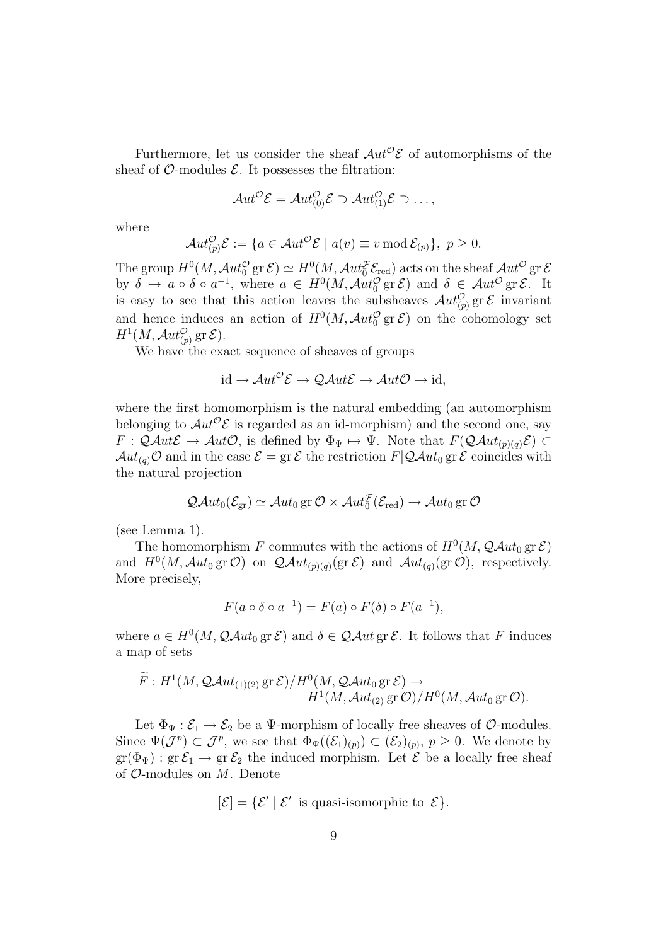Furthermore, let us consider the sheaf  $Aut^{\mathcal{O}}\mathcal{E}$  of automorphisms of the sheaf of  $\mathcal{O}\text{-modules } \mathcal{E}$ . It possesses the filtration:

$$
\mathcal{A}ut^{\mathcal{O}}\mathcal{E}=\mathcal{A}ut^{\mathcal{O}}_{(0)}\mathcal{E}\supset\mathcal{A}ut^{\mathcal{O}}_{(1)}\mathcal{E}\supset\ldots,
$$

where

$$
\mathcal{A}ut_{(p)}^{\mathcal{O}}\mathcal{E}:=\{a\in\mathcal{A}ut^{\mathcal{O}}\mathcal{E}\mid a(v)\equiv v\mathop{\rm mod}\nolimits\mathcal{E}_{(p)}\},\ p\geq 0.
$$

The group  $H^0(M, \mathcal{A}ut_0^{\mathcal{O}}$  gr $\mathcal{E}) \simeq H^0(M, \mathcal{A}ut_0^{\mathcal{F}} \mathcal{E}_{\text{red}})$  acts on the sheaf  $\mathcal{A}ut^{\mathcal{O}}$  gr $\mathcal{E}$ by  $\delta \mapsto a \circ \delta \circ a^{-1}$ , where  $a \in H^0(M, \mathcal{A}ut_0^{\mathcal{O}} \text{ gr } \mathcal{E})$  and  $\delta \in \mathcal{A}ut^{\mathcal{O}} \text{ gr } \mathcal{E}$ . It is easy to see that this action leaves the subsheaves  $\mathcal{A}ut_{(p)}^{\mathcal{O}}$  gr  $\mathcal{E}$  invariant and hence induces an action of  $H^0(M, \mathcal{A}ut_0^{\mathcal{O}}\text{ gr }\mathcal{E})$  on the cohomology set  $H^1(M, \mathcal{A}ut_{(p)}^{\mathcal{O}} \operatorname{gr} \mathcal{E}).$ 

We have the exact sequence of sheaves of groups

$$
id \to Aut^{\mathcal{O}}\mathcal{E} \to \mathcal{QAut}\mathcal{E} \to Aut\mathcal{O} \to id,
$$

where the first homomorphism is the natural embedding (an automorphism belonging to  $Aut^{\mathcal{O}}\mathcal{E}$  is regarded as an id-morphism) and the second one, say  $F: QAut\mathcal{E} \to Aut\mathcal{O}$ , is defined by  $\Phi_{\Psi} \mapsto \Psi$ . Note that  $F(QAut_{(p)(q)}\mathcal{E}) \subset$  $Aut_{(q)}\mathcal{O}$  and in the case  $\mathcal{E} = \text{gr }\mathcal{E}$  the restriction  $F|\mathcal{Q}Aut_0 \text{ gr }\mathcal{E}$  coincides with the natural projection

$$
\mathcal{Q}\mathcal{A}ut_0(\mathcal{E}_{\text{gr}}) \simeq \mathcal{A}ut_0 \text{ gr } \mathcal{O} \times \mathcal{A}ut_0^{\mathcal{F}}(\mathcal{E}_{\text{red}}) \to \mathcal{A}ut_0 \text{ gr } \mathcal{O}
$$

(see Lemma 1).

The homomorphism F commutes with the actions of  $H^0(M, \mathcal{Q} \mathcal{A} ut_0 \text{ gr } \mathcal{E})$ and  $H^0(M, \mathcal{A}ut_0 \text{ gr } \mathcal{O})$  on  $\mathcal{Q}Aut_{(p)(q)}(\text{gr } \mathcal{E})$  and  $\mathcal{A}ut_{(q)}(\text{gr } \mathcal{O})$ , respectively. More precisely,

$$
F(a \circ \delta \circ a^{-1}) = F(a) \circ F(\delta) \circ F(a^{-1}),
$$

where  $a \in H^0(M, \mathcal{Q}Aut_0 \text{ gr } \mathcal{E})$  and  $\delta \in \mathcal{Q}Aut \text{ gr } \mathcal{E}$ . It follows that F induces a map of sets

$$
\widetilde{F}: H^1(M, \mathcal{Q}Aut_{(1)(2)} \operatorname{gr} \mathcal{E})/H^0(M, \mathcal{Q}Aut_0 \operatorname{gr} \mathcal{E}) \to H^1(M, \mathcal{A}ut_{(2)} \operatorname{gr} \mathcal{O})/H^0(M, \mathcal{A}ut_0 \operatorname{gr} \mathcal{O}).
$$

Let  $\Phi_{\Psi} : \mathcal{E}_1 \to \mathcal{E}_2$  be a  $\Psi$ -morphism of locally free sheaves of  $\mathcal{O}$ -modules. Since  $\Psi(\mathcal{J}^p) \subset \mathcal{J}^p$ , we see that  $\Phi_{\Psi}((\mathcal{E}_1)_{(p)}) \subset (\mathcal{E}_2)_{(p)}, p \geq 0$ . We denote by  $gr(\Phi_{\Psi}) : gr \mathcal{E}_1 \to gr \mathcal{E}_2$  the induced morphism. Let  $\mathcal E$  be a locally free sheaf of  $\mathcal{O}$ -modules on  $M$ . Denote

$$
[\mathcal{E}] = \{ \mathcal{E}' \mid \mathcal{E}' \text{ is quasi-isomorphic to } \mathcal{E} \}.
$$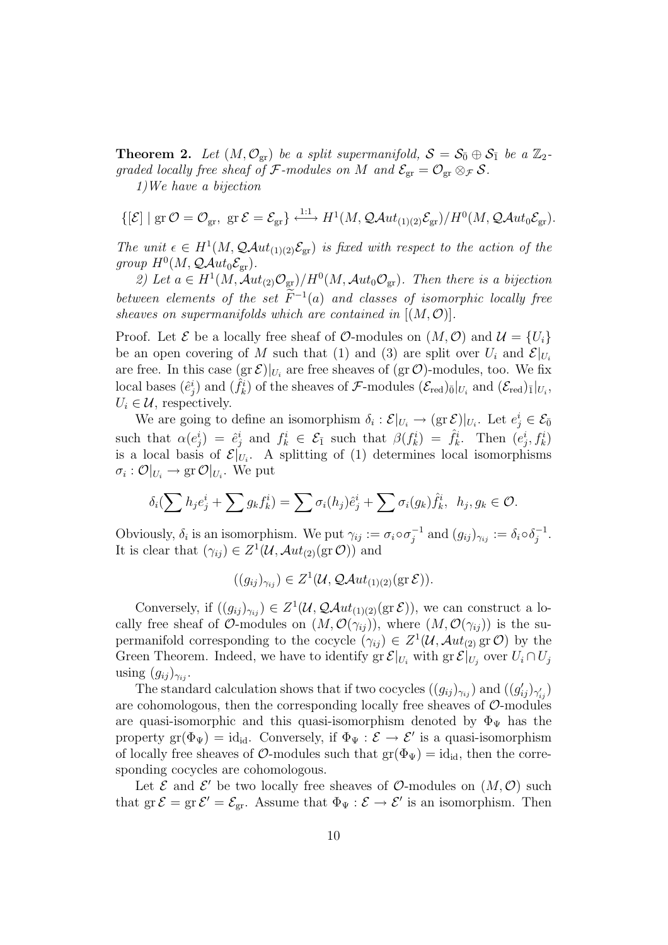**Theorem 2.** Let  $(M, \mathcal{O}_{gr})$  be a split supermanifold,  $S = S_{\bar{0}} \oplus S_{\bar{1}}$  be a  $\mathbb{Z}_2$ graded locally free sheaf of F-modules on M and  $\mathcal{E}_{gr} = \mathcal{O}_{gr} \otimes_{\mathcal{F}} \mathcal{S}$ . 1)We have a bijection

$$
\{[\mathcal{E}] \mid \text{gr}\,\mathcal{O}=\mathcal{O}_{\text{gr}},\ \text{gr}\,\mathcal{E}=\mathcal{E}_{\text{gr}}\} \overset{1:1}{\longleftrightarrow} H^1(M,\mathcal{Q}\mathcal{A}ut_{(1)(2)}\mathcal{E}_{\text{gr}})/H^0(M,\mathcal{Q}\mathcal{A}ut_0\mathcal{E}_{\text{gr}}).
$$

The unit  $\epsilon \in H^1(M, \mathcal{Q}Aut_{(1)(2)}\mathcal{E}_{gr})$  is fixed with respect to the action of the group  $H^0(M, \mathcal{Q}Aut_0\mathcal{E}_{\text{gr}})$ .

2) Let  $a \in H^1(M, \mathcal{A}ut_{(2)}\mathcal{O}_{gr})/H^0(M, \mathcal{A}ut_0\mathcal{O}_{gr})$ . Then there is a bijection between elements of the set  $\widetilde{F}^{-1}(a)$  and classes of isomorphic locally free sheaves on supermanifolds which are contained in  $[(M, \mathcal{O})]$ .

Proof. Let  $\mathcal E$  be a locally free sheaf of  $\mathcal O$ -modules on  $(M, \mathcal O)$  and  $\mathcal U = \{U_i\}$ be an open covering of M such that (1) and (3) are split over  $U_i$  and  $\mathcal{E}|_{U_i}$ are free. In this case  $(\text{gr } \mathcal{E})|_{U_i}$  are free sheaves of  $(\text{gr } \mathcal{O})$ -modules, too. We fix local bases  $(\hat{e}_j^i)$  and  $(\hat{f}_k^i)$  of the sheaves of F-modules  $(\mathcal{E}_{red})_{\bar{0}}|_{U_i}$  and  $(\mathcal{E}_{red})_{\bar{1}}|_{U_i}$ ,  $U_i \in \mathcal{U}$ , respectively.

We are going to define an isomorphism  $\delta_i: \mathcal{E}|_{U_i} \to (\text{gr } \mathcal{E})|_{U_i}$ . Let  $e_j^i \in \mathcal{E}_{\bar{0}}$ such that  $\alpha(e_j^i) = \hat{e}_j^i$  and  $f_k^i \in \mathcal{E}_{\bar{1}}$  such that  $\beta(f_k^i) = \hat{f}_k^i$ . Then  $(e_j^i, f_k^i)$ is a local basis of  $\mathcal{E}|_{U_i}$ . A splitting of (1) determines local isomorphisms  $\sigma_i: \mathcal{O}|_{U_i} \to \text{gr }\mathcal{O}|_{U_i}$ . We put

$$
\delta_i(\sum h_j e_j^i + \sum g_k f_k^i) = \sum \sigma_i(h_j)\hat{e}_j^i + \sum \sigma_i(g_k)\hat{f}_k^i, \ \ h_j, g_k \in \mathcal{O}.
$$

Obviously,  $\delta_i$  is an isomorphism. We put  $\gamma_{ij} := \sigma_i \circ \sigma_i^{-1}$  $j^{-1}$  and  $(g_{ij})_{\gamma_{ij}} := \delta_i \circ \delta_j^{-1}$  $\frac{-1}{j}$ . It is clear that  $(\gamma_{ij}) \in Z^1(\mathcal{U}, \mathcal{A}ut_{(2)}(\text{gr }\mathcal{O}))$  and

$$
((g_{ij})_{\gamma_{ij}}) \in Z^1(\mathcal{U}, \mathcal{Q}Aut_{(1)(2)}(\text{gr }\mathcal{E})).
$$

Conversely, if  $((g_{ij})_{\gamma_{ij}}) \in Z^1(\mathcal{U},\mathcal{Q}Aut_{(1)(2)}(\text{gr }\mathcal{E}))$ , we can construct a locally free sheaf of O-modules on  $(M, \mathcal{O}(\gamma_{ij}))$ , where  $(M, \mathcal{O}(\gamma_{ij}))$  is the supermanifold corresponding to the cocycle  $(\gamma_{ij}) \in Z^1(\mathcal{U}, \mathcal{A}ut_{(2)}$  gr $\mathcal{O})$  by the Green Theorem. Indeed, we have to identify gr  $\mathcal{E}|_{U_i}$  with gr $\mathcal{E}|_{U_j}$  over  $U_i \cap U_j$ using  $(g_{ij})_{\gamma_{ij}}$ .

The standard calculation shows that if two cocycles  $((g_{ij})_{\gamma_{ij}})$  and  $((g'_{ij})_{\gamma'_{ij}})$ are cohomologous, then the corresponding locally free sheaves of  $\mathcal{O}$ -modules are quasi-isomorphic and this quasi-isomorphism denoted by  $\Phi_{\Psi}$  has the property  $\text{gr}(\Phi_{\Psi}) = \text{id}_{\text{id}}$ . Conversely, if  $\Phi_{\Psi}: \mathcal{E} \to \mathcal{E}'$  is a quasi-isomorphism of locally free sheaves of  $\mathcal{O}$ -modules such that  $gr(\Phi_{\Psi}) = id_{id}$ , then the corresponding cocycles are cohomologous.

Let  $\mathcal E$  and  $\mathcal E'$  be two locally free sheaves of  $\mathcal O$ -modules on  $(M, \mathcal O)$  such that  $gr \mathcal{E} = gr \mathcal{E}' = \mathcal{E}_{gr}$ . Assume that  $\Phi_{\Psi} : \mathcal{E} \to \mathcal{E}'$  is an isomorphism. Then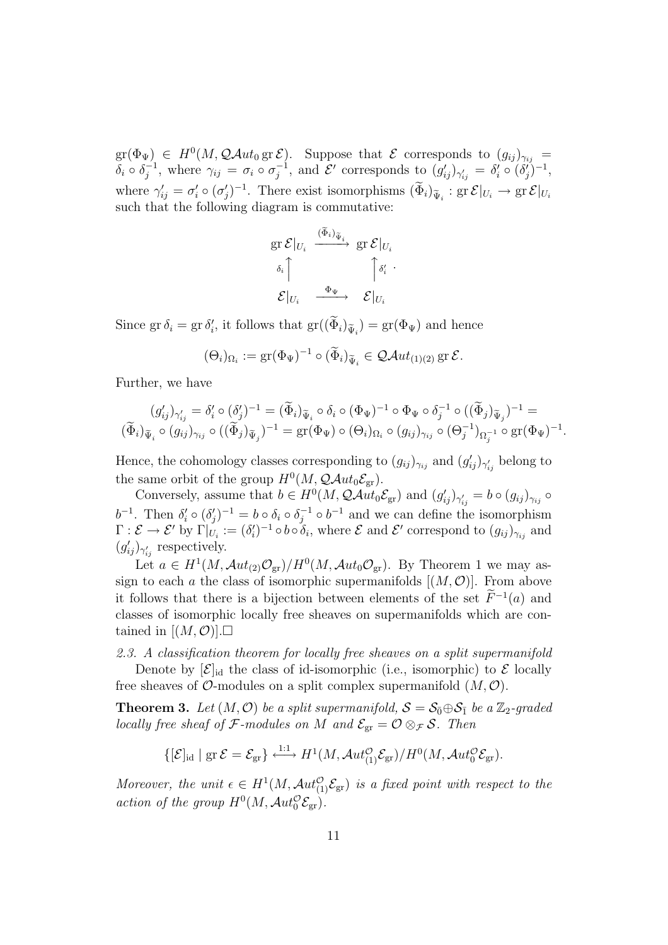$\mathrm{gr}(\Phi_{\Psi}) \in H^0(M, \mathcal{Q}Aut_0 \operatorname{gr} \mathcal{E}).$  Suppose that  $\mathcal E$  corresponds to  $(g_{ij})_{\gamma_{ij}} =$  $\delta_i \circ \delta_i^{-1}$  $\sigma_j^{-1}$ , where  $\gamma_{ij} = \sigma_i \circ \sigma_j^{-1}$  $j^{-1}$ , and  $\mathcal{E}'$  corresponds to  $(g'_{ij})_{\gamma'_{ij}} = \delta'_i \circ (\delta'_j)^{-1}$ , where  $\gamma'_{ij} = \sigma'_i \circ (\sigma'_j)^{-1}$ . There exist isomorphisms  $(\widetilde{\Phi}_i)_{\widetilde{\Psi}_i} : \text{gr } \mathcal{E}|_{U_i} \to \text{gr } \mathcal{E}|_{U_i}$ such that the following diagram is commutative:

$$
\begin{aligned}\n &\text{gr } \mathcal{E} |_{U_i} \xrightarrow{\quad (\widetilde{\Phi}_i)_{\widetilde{\Psi}_i}} \text{gr } \mathcal{E} |_{U_i} \\
 &\delta_i \uparrow \qquad \qquad \uparrow \delta'_i \cdot \\
 &\mathcal{E} |_{U_i} \xrightarrow{\quad \Phi_{\Psi}} \qquad \mathcal{E} |_{U_i}\n \end{aligned}
$$

Since  $\text{gr }\delta_i = \text{gr }\delta'_i$ , it follows that  $\text{gr}((\widetilde{\Phi}_i)_{\widetilde{\Psi}_i}) = \text{gr}(\Phi_{\Psi})$  and hence

$$
(\Theta_i)_{\Omega_i} := \mathrm{gr}(\Phi_{\Psi})^{-1} \circ (\widetilde{\Phi}_i)_{\widetilde{\Psi}_i} \in \mathcal{Q}\mathcal{A}ut_{(1)(2)} \,\mathrm{gr}\,\mathcal{E}.
$$

Further, we have

$$
(g_{ij}')_{\gamma'_{ij}} = \delta'_i \circ (\delta'_j)^{-1} = (\widetilde{\Phi}_i)_{\widetilde{\Psi}_i} \circ \delta_i \circ (\Phi_{\Psi})^{-1} \circ \Phi_{\Psi} \circ \delta_j^{-1} \circ ((\widetilde{\Phi}_j)_{\widetilde{\Psi}_j})^{-1} = (\widetilde{\Phi}_i)_{\widetilde{\Psi}_i} \circ (g_{ij})_{\gamma_{ij}} \circ ((\widetilde{\Phi}_j)_{\widetilde{\Psi}_j})^{-1} = \text{gr}(\Phi_{\Psi}) \circ (\Theta_i)_{\Omega_i} \circ (g_{ij})_{\gamma_{ij}} \circ (\Theta_j^{-1})_{\Omega_j^{-1}} \circ \text{gr}(\Phi_{\Psi})^{-1}.
$$

Hence, the cohomology classes corresponding to  $(g_{ij})_{\gamma_{ij}}$  and  $(g'_{ij})_{\gamma'_{ij}}$  belong to the same orbit of the group  $H^0(M, \mathcal{Q} \mathcal{A} u t_0 \mathcal{E}_{gr})$ .

Conversely, assume that  $b \in H^0(M, \mathcal{Q}Aut_0 \mathcal{E}_{gr})$  and  $(g'_{ij})_{\gamma'_{ij}} = b \circ (g_{ij})_{\gamma_{ij}} \circ$  $b^{-1}$ . Then  $\delta_i' \circ (\delta_j')^{-1} = b \circ \delta_i \circ \delta_j^{-1} \circ b^{-1}$  and we can define the  $j^{-1} \circ b^{-1}$  and we can define the isomorphism  $\Gamma: \mathcal{E} \to \mathcal{E}'$  by  $\Gamma|_{U_i} := (\delta_i')^{-1} \circ b \circ \delta_i$ , where  $\mathcal{E}$  and  $\mathcal{E}'$  correspond to  $(g_{ij})_{\gamma_{ij}}$  and  $(g'_{ij})_{\gamma'_{ij}}$  respectively.

Let  $a \in H^1(M, \mathcal{A}ut_{(2)}\mathcal{O}_{gr})/H^0(M, \mathcal{A}ut_0\mathcal{O}_{gr})$ . By Theorem 1 we may assign to each a the class of isomorphic supermanifolds  $[(M, O)]$ . From above it follows that there is a bijection between elements of the set  $\widetilde{F}^{-1}(a)$  and classes of isomorphic locally free sheaves on supermanifolds which are contained in  $[(M, \mathcal{O})]$ .

2.3. A classification theorem for locally free sheaves on a split supermanifold

Denote by  $[\mathcal{E}]_{\text{id}}$  the class of id-isomorphic (i.e., isomorphic) to  $\mathcal E$  locally free sheaves of  $\mathcal{O}$ -modules on a split complex supermanifold  $(M, \mathcal{O})$ .

**Theorem 3.** Let  $(M, \mathcal{O})$  be a split supermanifold,  $S = S_0 \oplus S_1$  be a  $\mathbb{Z}_2$ -graded locally free sheaf of F-modules on M and  $\mathcal{E}_{gr} = \mathcal{O} \otimes_{\mathcal{F}} \mathcal{S}$ . Then

$$
\{[\mathcal{E}]_{\text{id}} \mid \text{gr} \mathcal{E} = \mathcal{E}_{\text{gr}}\} \stackrel{1:1}{\longleftrightarrow} H^1(M, \mathcal{A}ut_{(1)}^{\mathcal{O}} \mathcal{E}_{\text{gr}}) / H^0(M, \mathcal{A}ut_0^{\mathcal{O}} \mathcal{E}_{\text{gr}}).
$$

Moreover, the unit  $\epsilon \in H^1(M, \mathcal{A}ut_{(1)}^{\mathcal{O}} \mathcal{E}_{gr})$  is a fixed point with respect to the action of the group  $H^0(M, \mathcal{A}ut_0^{\mathcal{O}} \mathcal{E}_{gr})$ .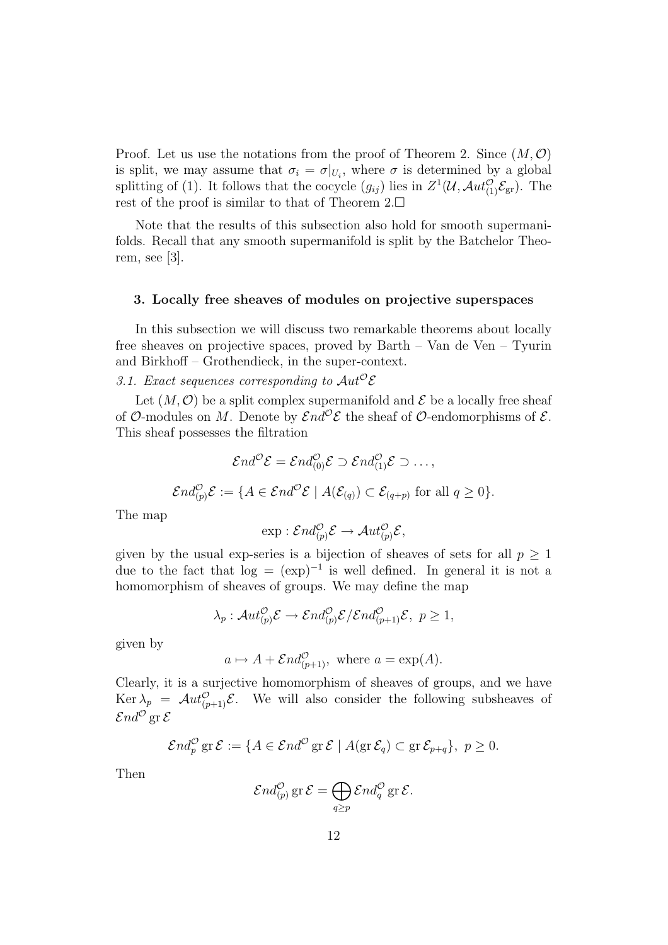Proof. Let us use the notations from the proof of Theorem 2. Since  $(M, \mathcal{O})$ is split, we may assume that  $\sigma_i = \sigma|_{U_i}$ , where  $\sigma$  is determined by a global splitting of (1). It follows that the cocycle  $(g_{ij})$  lies in  $Z^1(\mathcal{U}, \mathcal{A}ut_{(1)}^{\mathcal{O}}\mathcal{E}_{gr})$ . The rest of the proof is similar to that of Theorem  $2.\Box$ 

Note that the results of this subsection also hold for smooth supermanifolds. Recall that any smooth supermanifold is split by the Batchelor Theorem, see [3].

# 3. Locally free sheaves of modules on projective superspaces

In this subsection we will discuss two remarkable theorems about locally free sheaves on projective spaces, proved by Barth – Van de Ven – Tyurin and Birkhoff – Grothendieck, in the super-context.

3.1. Exact sequences corresponding to  $Aut^{\mathcal{O}}\mathcal{E}$ 

Let  $(M, \mathcal{O})$  be a split complex supermanifold and  $\mathcal E$  be a locally free sheaf of O-modules on M. Denote by  $\mathcal{E}nd^{\mathcal{O}}\mathcal{E}$  the sheaf of O-endomorphisms of  $\mathcal{E}$ . This sheaf possesses the filtration

$$
\mathcal{E}nd^{\mathcal{O}}\mathcal{E}=\mathcal{E}nd^{\mathcal{O}}_{(0)}\mathcal{E}\supset\mathcal{E}nd^{\mathcal{O}}_{(1)}\mathcal{E}\supset\ldots,
$$

$$
\mathcal{E}nd_{(p)}^{\mathcal{O}}\mathcal{E}:=\{A\in \mathcal{E}nd^{\mathcal{O}}\mathcal{E}\mid A(\mathcal{E}_{(q)})\subset \mathcal{E}_{(q+p)} \text{ for all } q\geq 0\}.
$$

The map

$$
\exp: \mathcal{E}nd_{(p)}^{\mathcal{O}}\mathcal{E} \to \mathcal{A}ut_{(p)}^{\mathcal{O}}\mathcal{E},
$$

given by the usual exp-series is a bijection of sheaves of sets for all  $p \geq 1$ due to the fact that  $log = (exp)^{-1}$  is well defined. In general it is not a homomorphism of sheaves of groups. We may define the map

$$
\lambda_p:Aut_{(p)}^{\mathcal{O}} \mathcal{E} \to \mathcal{E}nd_{(p)}^{\mathcal{O}} \mathcal{E}/\mathcal{E}nd_{(p+1)}^{\mathcal{O}} \mathcal{E}, \ p \ge 1,
$$

given by

$$
a \mapsto A + \mathcal{E}nd_{(p+1)}^{\mathcal{O}}, \text{ where } a = \exp(A).
$$

Clearly, it is a surjective homomorphism of sheaves of groups, and we have Ker  $\lambda_p = \mathcal{A}ut_{(p+1)}^{\mathcal{O}}\mathcal{E}$ . We will also consider the following subsheaves of  $\mathcal{E}nd^{\mathcal{O}}$  gr  $\mathcal E$ 

$$
\mathcal{E}nd_p^{\mathcal{O}}\mathrm{gr}\,\mathcal{E}:=\{A\in \mathcal{E}nd^{\mathcal{O}}\mathrm{gr}\,\mathcal{E}\mid A(\mathrm{gr}\,\mathcal{E}_q)\subset \mathrm{gr}\,\mathcal{E}_{p+q}\},\ p\geq 0.
$$

Then

$$
\mathcal{E}nd_{(p)}^{\mathcal{O}}\operatorname{gr}\mathcal{E}=\bigoplus_{q\geq p}\mathcal{E}nd_q^{\mathcal{O}}\operatorname{gr}\mathcal{E}.
$$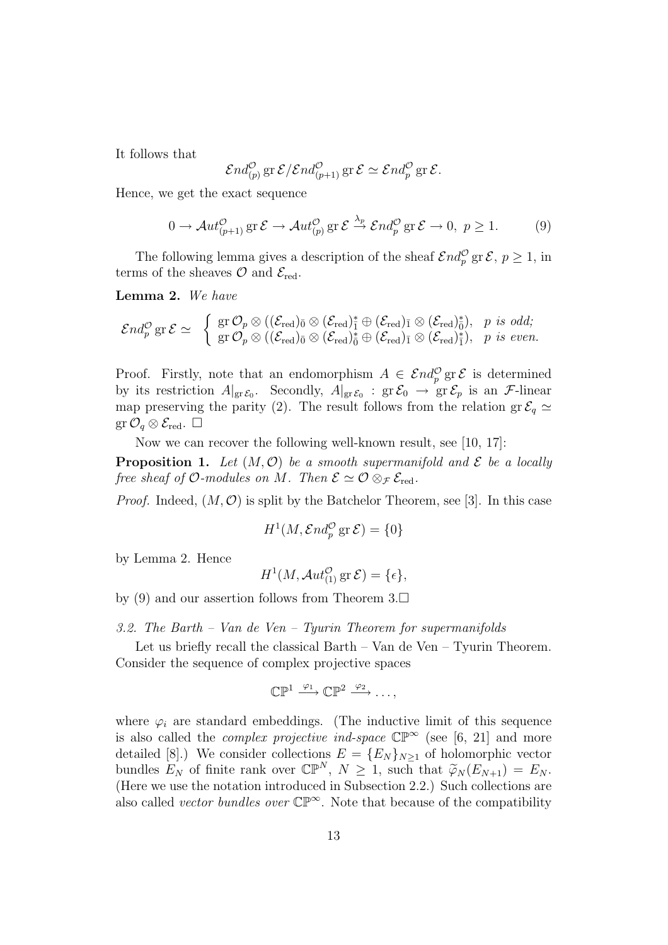It follows that

$$
\mathcal{E}nd_{(p)}^{\mathcal{O}}\operatorname{gr}\mathcal{E}/\mathcal{E}nd_{(p+1)}^{\mathcal{O}}\operatorname{gr}\mathcal{E}\simeq \mathcal{E}nd_{p}^{\mathcal{O}}\operatorname{gr}\mathcal{E}.
$$

Hence, we get the exact sequence

$$
0 \to \mathcal{A}ut_{(p+1)}^{\mathcal{O}} \operatorname{gr} \mathcal{E} \to \mathcal{A}ut_{(p)}^{\mathcal{O}} \operatorname{gr} \mathcal{E} \xrightarrow{\lambda_p} \mathcal{E}nd_p^{\mathcal{O}} \operatorname{gr} \mathcal{E} \to 0, \ p \ge 1.
$$
 (9)

The following lemma gives a description of the sheaf  $\mathcal{E} nd_p^{\mathcal{O}}$  gr $\mathcal{E}, p \geq 1$ , in terms of the sheaves  $\mathcal{O}$  and  $\mathcal{E}_{\text{red}}$ .

Lemma 2. We have

$$
\mathcal{E} nd_p^{\mathcal{O}} \operatorname{gr} \mathcal{E} \simeq \begin{array}{l} \left\{ \begin{array}{l} \operatorname{gr} \mathcal{O}_p \otimes ((\mathcal{E}_{\operatorname{red}})_{\bar{0}} \otimes (\mathcal{E}_{\operatorname{red}})_{\bar{1}}^* \oplus (\mathcal{E}_{\operatorname{red}})_{\bar{1}} \otimes (\mathcal{E}_{\operatorname{red}})_{\bar{0}}^*), \quad p \, \operatorname{is} \, \operatorname{odd}; \\ \operatorname{gr} \mathcal{O}_p \otimes ((\mathcal{E}_{\operatorname{red}})_{\bar{0}} \otimes (\mathcal{E}_{\operatorname{red}})_{\bar{0}}^* \oplus (\mathcal{E}_{\operatorname{red}})_{\bar{1}} \otimes (\mathcal{E}_{\operatorname{red}})_{\bar{1}}^*), \quad p \, \operatorname{is} \, \operatorname{even}. \end{array} \right. \end{array}
$$

Proof. Firstly, note that an endomorphism  $A \in \mathcal{E} nd_p^{\mathcal{O}}$  gr $\mathcal{E}$  is determined by its restriction  $A|_{\text{gr}\mathcal{E}_0}$ . Secondly,  $A|_{\text{gr}\mathcal{E}_0}$  :  $\text{gr}\mathcal{E}_0 \to \text{gr}\mathcal{E}_p$  is an *F*-linear map preserving the parity (2). The result follows from the relation gr  $\mathcal{E}_q \simeq$  $\operatorname{gr}\mathcal{O}_q\otimes\mathcal{E}_{\text{red}}.$   $\square$ 

Now we can recover the following well-known result, see [10, 17]:

**Proposition 1.** Let  $(M, \mathcal{O})$  be a smooth supermanifold and  $\mathcal{E}$  be a locally free sheaf of O-modules on M. Then  $\mathcal{E} \simeq \mathcal{O} \otimes_{\mathcal{F}} \mathcal{E}_{\text{red}}$ .

*Proof.* Indeed,  $(M, \mathcal{O})$  is split by the Batchelor Theorem, see [3]. In this case

$$
H^1(M, \mathcal{E}nd_p^{\mathcal{O}}\text{ gr } \mathcal{E}) = \{0\}
$$

by Lemma 2. Hence

$$
H^1(M, \mathcal{A}ut_{(1)}^{\mathcal{O}} \operatorname{gr} \mathcal{E}) = \{\epsilon\},
$$

by (9) and our assertion follows from Theorem  $3.\Box$ 

3.2. The Barth – Van de Ven – Tyurin Theorem for supermanifolds

Let us briefly recall the classical Barth – Van de Ven – Tyurin Theorem. Consider the sequence of complex projective spaces

$$
\mathbb{CP}^1 \xrightarrow{\varphi_1} \mathbb{CP}^2 \xrightarrow{\varphi_2} \dots,
$$

where  $\varphi_i$  are standard embeddings. (The inductive limit of this sequence is also called the *complex projective ind-space*  $\mathbb{CP}^{\infty}$  (see [6, 21] and more detailed [8].) We consider collections  $E = \{E_N\}_{N>1}$  of holomorphic vector bundles  $E_N$  of finite rank over  $\mathbb{CP}^N$ ,  $N \geq 1$ , such that  $\widetilde{\varphi}_N(E_{N+1}) = E_N$ . (Here we use the notation introduced in Subsection 2.2.) Such collections are also called *vector bundles over*  $\mathbb{CP}^{\infty}$ . Note that because of the compatibility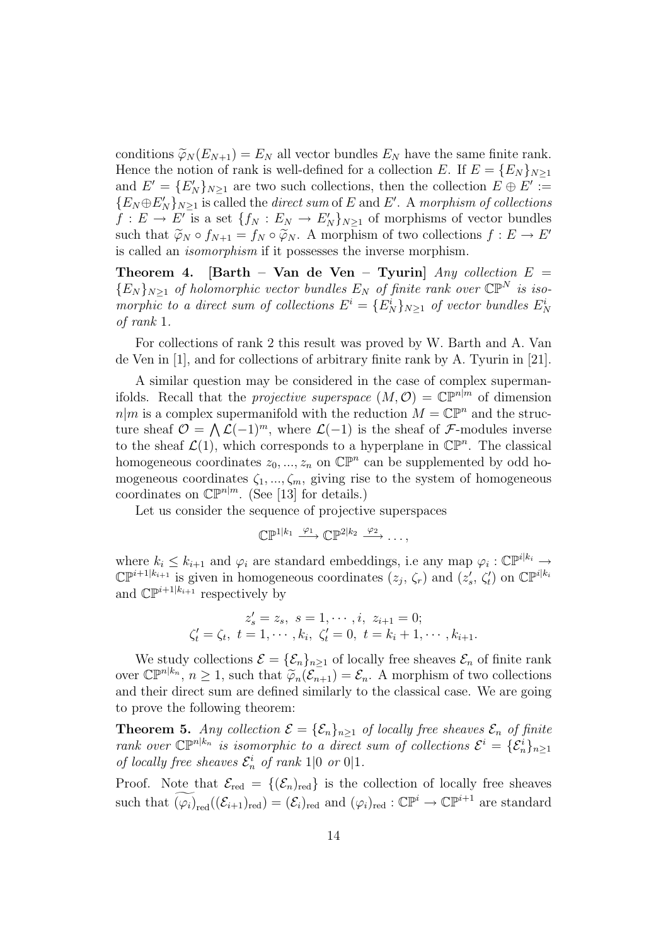conditions  $\widetilde{\varphi}_N(E_{N+1}) = E_N$  all vector bundles  $E_N$  have the same finite rank. Hence the notion of rank is well-defined for a collection E. If  $E = \{E_N\}_{N\geq 1}$ and  $E' = \{E'_N\}_{N\geq 1}$  are two such collections, then the collection  $E \oplus E' :=$  ${E_N \oplus E'_N}_{N\geq 1}$  is called the *direct sum* of E and E'. A morphism of collections  $f: E \to E'$  is a set  $\{f_N: E_N \to E'_N\}_{N \geq 1}$  of morphisms of vector bundles such that  $\widetilde{\varphi}_N \circ f_{N+1} = f_N \circ \widetilde{\varphi}_N$ . A morphism of two collections  $f : E \to E'$ is called an isomorphism if it possesses the inverse morphism.

Theorem 4. [Barth – Van de Ven – Tyurin]  $Any$  collection  $E =$  ${E_N}_{N\geq 1}$  of holomorphic vector bundles  $E_N$  of finite rank over  $\mathbb{CP}^N$  is isomorphic to a direct sum of collections  $E^i = \{E_N^i\}_{N \geq 1}$  of vector bundles  $E_N^i$ of rank 1.

For collections of rank 2 this result was proved by W. Barth and A. Van de Ven in [1], and for collections of arbitrary finite rank by A. Tyurin in [21].

A similar question may be considered in the case of complex supermanifolds. Recall that the *projective superspace*  $(M, \mathcal{O}) = \mathbb{C}\mathbb{P}^{n|m}$  of dimension  $n|m$  is a complex supermanifold with the reduction  $M = \mathbb{CP}^n$  and the structure sheaf  $\mathcal{O} = \bigwedge \mathcal{L}(-1)^m$ , where  $\mathcal{L}(-1)$  is the sheaf of  $\mathcal{F}$ -modules inverse to the sheaf  $\mathcal{L}(1)$ , which corresponds to a hyperplane in  $\mathbb{CP}^n$ . The classical homogeneous coordinates  $z_0, ..., z_n$  on  $\mathbb{CP}^n$  can be supplemented by odd homogeneous coordinates  $\zeta_1, ..., \zeta_m$ , giving rise to the system of homogeneous coordinates on  $\mathbb{CP}^{n|m}$ . (See [13] for details.)

Let us consider the sequence of projective superspaces

$$
\mathbb{C}\mathbb{P}^{1|k_1} \xrightarrow{\varphi_1} \mathbb{C}\mathbb{P}^{2|k_2} \xrightarrow{\varphi_2} \ldots,
$$

where  $k_i \leq k_{i+1}$  and  $\varphi_i$  are standard embeddings, i.e any map  $\varphi_i : \mathbb{CP}^{i|k_i} \to$  $\mathbb{CP}^{i+1|k_{i+1}}$  is given in homogeneous coordinates  $(z_j, \zeta_r)$  and  $(z'_s, \zeta'_t)$  on  $\mathbb{CP}^{i|k_i}$ and  $\mathbb{CP}^{i+1|k_{i+1}}$  respectively by

$$
z'_{s} = z_{s}, \ s = 1, \cdots, i, \ z_{i+1} = 0;
$$
  

$$
\zeta'_{t} = \zeta_{t}, \ t = 1, \cdots, k_{i}, \ \zeta'_{t} = 0, \ t = k_{i} + 1, \cdots, k_{i+1}.
$$

We study collections  $\mathcal{E} = {\mathcal{E}_n}_{n \ge 1}$  of locally free sheaves  $\mathcal{E}_n$  of finite rank over  $\mathbb{CP}^{n|k_n}$ ,  $n \geq 1$ , such that  $\widetilde{\varphi}_n(\widetilde{\mathcal{E}_{n+1}}) = \mathcal{E}_n$ . A morphism of two collections and their direct sum are defined similarly to the classical case. We are going to prove the following theorem:

**Theorem 5.** Any collection  $\mathcal{E} = {\mathcal{E}_n}_{n>1}$  of locally free sheaves  $\mathcal{E}_n$  of finite rank over  $\mathbb{CP}^{n|k_n}$  is isomorphic to a direct sum of collections  $\mathcal{E}^i = {\{\mathcal{E}_n^i\}}_{n\geq 1}$ of locally free sheaves  $\mathcal{E}_n^i$  of rank 1|0 or 0|1.

Proof. Note that  $\mathcal{E}_{\text{red}} = \{(\mathcal{E}_n)_{\text{red}}\}$  is the collection of locally free sheaves such that  $\widetilde{(\varphi_i)}_{\text{red}}((\mathcal{E}_{i+1})_{\text{red}}) = (\mathcal{E}_i)_{\text{red}}$  and  $(\varphi_i)_{\text{red}} : \mathbb{CP}^i \to \mathbb{CP}^{i+1}$  are standard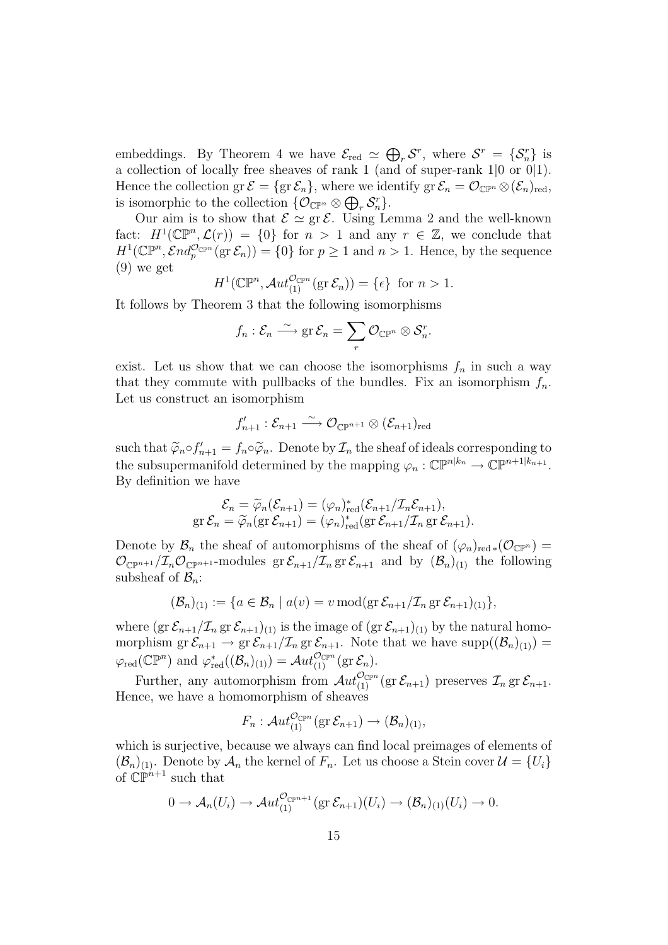embeddings. By Theorem 4 we have  $\mathcal{E}_{\text{red}} \simeq$  $\overline{a}$  $r \mathcal{S}^r$ , where  $\mathcal{S}^r = \{\mathcal{S}^r_n\}$  is a collection of locally free sheaves of rank 1 (and of super-rank 1|0 or 0|1). Hence the collection  $gr \mathcal{E} = \{ gr \mathcal{E}_n \}$ , where we identify  $gr \mathcal{E}_n = \mathcal{O}_{\mathbb{CP}^n} \otimes (\mathcal{E}_n)_{red}$ , is isomorphic to the collection  $\{ \mathcal{O}_{\mathbb{C}\mathbb{P}^n} \otimes \bigoplus_r \mathcal{S}_n^r \}.$ 

Our aim is to show that  $\mathcal{E} \simeq \text{gr } \mathcal{E}$ . Using Lemma 2 and the well-known fact:  $H^1(\mathbb{CP}^n, \mathcal{L}(r)) = \{0\}$  for  $n > 1$  and any  $r \in \mathbb{Z}$ , we conclude that  $H^1(\mathbb{CP}^n, \mathcal{E}nd_p^{\mathcal{O}_{\mathbb{CP}^n}}(\text{gr }\mathcal{E}_n)) = \{0\}$  for  $p \geq 1$  and  $n > 1$ . Hence, by the sequence (9) we get

$$
H^1(\mathbb{CP}^n, \mathcal{A}ut_{(1)}^{\mathcal{O}_{\mathbb{CP}^n}}(\text{gr }\mathcal{E}_n)) = \{\epsilon\} \text{ for } n > 1.
$$

It follows by Theorem 3 that the following isomorphisms

$$
f_n: \mathcal{E}_n \stackrel{\sim}{\longrightarrow} \operatorname{gr} \mathcal{E}_n = \sum_r \mathcal{O}_{\mathbb{CP}^n} \otimes \mathcal{S}_n^r.
$$

exist. Let us show that we can choose the isomorphisms  $f_n$  in such a way that they commute with pullbacks of the bundles. Fix an isomorphism  $f_n$ . Let us construct an isomorphism

$$
f'_{n+1} : \mathcal{E}_{n+1} \stackrel{\sim}{\longrightarrow} \mathcal{O}_{\mathbb{C}\mathbb{P}^{n+1}} \otimes (\mathcal{E}_{n+1})_{\mathrm{red}}
$$

such that  $\widetilde{\varphi}_n \circ f'_{n+1} = f_n \circ \widetilde{\varphi}_n$ . Denote by  $\mathcal{I}_n$  the sheaf of ideals corresponding to the subsupermanifold determined by the mapping  $\varphi_n : \mathbb{CP}^{n|k_n} \to \mathbb{CP}^{n+1|k_{n+1}}$ . By definition we have

$$
\mathcal{E}_n = \widetilde{\varphi}_n(\mathcal{E}_{n+1}) = (\varphi_n)_{\text{red}}^*(\mathcal{E}_{n+1}/\mathcal{I}_n \mathcal{E}_{n+1}),
$$
  
gr  $\mathcal{E}_n = \widetilde{\varphi}_n(\text{gr }\mathcal{E}_{n+1}) = (\varphi_n)_{\text{red}}^*(\text{gr }\mathcal{E}_{n+1}/\mathcal{I}_n \text{ gr }\mathcal{E}_{n+1}).$ 

Denote by  $\mathcal{B}_n$  the sheaf of automorphisms of the sheaf of  $(\varphi_n)_{\text{red} *}(\mathcal{O}_{\mathbb{C}\mathbb{P}^n}) =$  $\mathcal{O}_{\mathbb{C}\mathbb{P}^{n+1}}/\mathcal{I}_n\mathcal{O}_{\mathbb{C}\mathbb{P}^{n+1}}$ -modules gr $\mathcal{E}_{n+1}/\mathcal{I}_n$  gr $\mathcal{E}_{n+1}$  and by  $(\mathcal{B}_n)_{(1)}$  the following subsheaf of  $\mathcal{B}_n$ :

$$
(\mathcal{B}_n)_{(1)} := \{ a \in \mathcal{B}_n \mid a(v) = v \operatorname{mod}(\operatorname{gr} \mathcal{E}_{n+1}/\mathcal{I}_n \operatorname{gr} \mathcal{E}_{n+1})_{(1)} \},
$$

where  $(\text{gr }\mathcal{E}_{n+1}/\mathcal{I}_n \text{ gr }\mathcal{E}_{n+1})_{(1)}$  is the image of  $(\text{gr }\mathcal{E}_{n+1})_{(1)}$  by the natural homomorphism  $\operatorname{gr} \mathcal{E}_{n+1} \to \operatorname{gr} \mathcal{E}_{n+1}/\mathcal{I}_n$  gr $\mathcal{E}_{n+1}$ . Note that we have  $\operatorname{supp}((\mathcal{B}_n)_{(1)}) =$  $\varphi_{\text{red}}(\mathbb{CP}^n)$  and  $\varphi_{\text{red}}^*((\mathcal{B}_n)_{(1)}) = \mathcal{A}ut_{(1)}^{\mathcal{O}_{\mathbb{CP}^n}}(\text{gr }\mathcal{E}_n).$ 

Further, any automorphism from  $\mathcal{A}ut_{(1)}^{\mathcal{O}_{\mathbb{CP}^n}}(\text{gr }\mathcal{E}_{n+1})$  preserves  $\mathcal{I}_n$  gr $\mathcal{E}_{n+1}$ . Hence, we have a homomorphism of sheaves

$$
F_n: \mathcal{A}ut_{(1)}^{\mathcal{O}_{\mathbb{CP}^n}}(\text{gr }\mathcal{E}_{n+1}) \to (\mathcal{B}_n)_{(1)},
$$

which is surjective, because we always can find local preimages of elements of  $(\mathcal{B}_n)_{(1)}$ . Denote by  $\mathcal{A}_n$  the kernel of  $F_n$ . Let us choose a Stein cover  $\mathcal{U} = \{U_i\}$ of  $\mathbb{CP}^{n+1}$  such that

$$
0 \to \mathcal{A}_n(U_i) \to \mathcal{A}ut_{(1)}^{\mathcal{O}_{\mathbb{C}\mathbb{P}^{n+1}}}(\text{gr }\mathcal{E}_{n+1})(U_i) \to (\mathcal{B}_n)_{(1)}(U_i) \to 0.
$$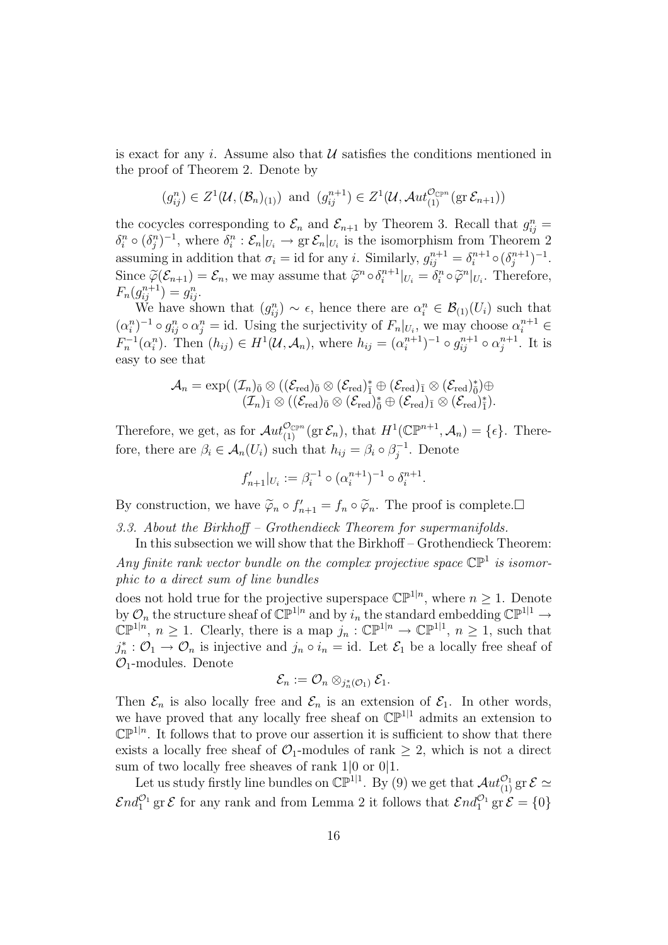is exact for any i. Assume also that  $\mathcal U$  satisfies the conditions mentioned in the proof of Theorem 2. Denote by

$$
(g_{ij}^n) \in Z^1(\mathcal{U}, (\mathcal{B}_n)_{(1)})
$$
 and  $(g_{ij}^{n+1}) \in Z^1(\mathcal{U}, \mathcal{A}ut_{(1)}^{\mathcal{O}_{\mathbb{CP}^n}}(\text{gr }\mathcal{E}_{n+1}))$ 

the cocycles corresponding to  $\mathcal{E}_n$  and  $\mathcal{E}_{n+1}$  by Theorem 3. Recall that  $g_{ij}^n =$  $\delta_i^n \circ (\delta_j^n)^{-1}$ , where  $\delta_i^n : \mathcal{E}_n|_{U_i} \to \text{gr } \mathcal{E}_n|_{U_i}$  is the isomorphism from Theorem 2 assuming in addition that  $\sigma_i = \text{id}$  for any i. Similarly,  $g_{ij}^{n+1} = \delta_i^{n+1}$  $i^{n+1} \circ (\delta_j^{n+1})$  $\binom{n+1}{j}$ -1. Since  $\widetilde{\varphi}(\mathcal{E}_{n+1}) = \mathcal{E}_n$ , we may assume that  $\widetilde{\varphi}^n \circ \delta_i^{n+1}$  $\tilde{u}_i^{n+1}|_{U_i} = \delta_i^n \circ \tilde{\varphi}^n|_{U_i}$ . Therefore,  $F_n(g_{ij}^{n+1}) = g_{ij}^n.$ 

We have shown that  $(g_{ij}^n) \sim \epsilon$ , hence there are  $\alpha_i^n \in \mathcal{B}_{(1)}(U_i)$  such that  $(\alpha_i^n)^{-1} \circ g_{ij}^n \circ \alpha_j^n = id.$  Using the surjectivity of  $F_n|_{U_i}$ , we may choose  $\alpha_i^{n+1} \in$  $F_n^{-1}(\alpha_i^n)$ . Then  $(h_{ij}) \in H^1(\mathcal{U}, \mathcal{A}_n)$ , where  $h_{ij} = (\alpha_i^{n+1})$  $(i^{n+1})^{-1} \circ g_{ij}^{n+1} \circ \alpha_j^{n+1}$  $i^{n+1}$ . It is easy to see that

$$
\mathcal{A}_n = \exp(\;(\mathcal{I}_n)_{\bar{0}} \otimes ((\mathcal{E}_\mathrm{red})_{\bar{0}} \otimes (\mathcal{E}_\mathrm{red})_{\bar{1}}^* \oplus (\mathcal{E}_\mathrm{red})_{\bar{1}} \otimes (\mathcal{E}_\mathrm{red})_{\bar{0}}^*) \oplus \\ (\mathcal{I}_n)_{\bar{1}} \otimes ((\mathcal{E}_\mathrm{red})_{\bar{0}} \otimes (\mathcal{E}_\mathrm{red})_{\bar{0}}^* \oplus (\mathcal{E}_\mathrm{red})_{\bar{1}} \otimes (\mathcal{E}_\mathrm{red})_{\bar{1}}^*).
$$

Therefore, we get, as for  $\mathcal{A}ut_{(1)}^{\mathcal{O}_{\mathbb{CP}^n}}(\text{gr }\mathcal{E}_n)$ , that  $H^1(\mathbb{CP}^{n+1},\mathcal{A}_n)=\{\epsilon\}$ . Therefore, there are  $\beta_i \in \mathcal{A}_n(U_i)$  such that  $h_{ij} = \beta_i \circ \beta_i^{-1}$  $j^{-1}$ . Denote

$$
f'_{n+1}|_{U_i} := \beta_i^{-1} \circ (\alpha_i^{n+1})^{-1} \circ \delta_i^{n+1}.
$$

By construction, we have  $\tilde{\varphi}_n \circ f'_{n+1} = f_n \circ \tilde{\varphi}_n$ . The proof is complete.

3.3. About the Birkhoff – Grothendieck Theorem for supermanifolds.

In this subsection we will show that the Birkhoff – Grothendieck Theorem: Any finite rank vector bundle on the complex projective space  $\mathbb{CP}^1$  is isomorphic to a direct sum of line bundles

does not hold true for the projective superspace  $\mathbb{CP}^{1|n}$ , where  $n \geq 1$ . Denote by  $\mathcal{O}_n$  the structure sheaf of  $\mathbb{CP}^{1|n}$  and by  $i_n$  the standard embedding  $\mathbb{CP}^{1|1} \to$  $\mathbb{CP}^{1|n}, n \geq 1$ . Clearly, there is a map  $j_n : \mathbb{CP}^{1|n} \to \mathbb{CP}^{1|1}, n \geq 1$ , such that  $j_n^* : \mathcal{O}_1 \to \mathcal{O}_n$  is injective and  $j_n \circ i_n = id$ . Let  $\mathcal{E}_1$  be a locally free sheaf of  $\mathcal{O}_1$ -modules. Denote

$$
\mathcal{E}_n:=\mathcal{O}_n\otimes_{j_n^*(\mathcal{O}_1)}\mathcal{E}_1.
$$

Then  $\mathcal{E}_n$  is also locally free and  $\mathcal{E}_n$  is an extension of  $\mathcal{E}_1$ . In other words, we have proved that any locally free sheaf on  $\mathbb{CP}^{1|1}$  admits an extension to  $\mathbb{CP}^{1|n}$ . It follows that to prove our assertion it is sufficient to show that there exists a locally free sheaf of  $\mathcal{O}_1$ -modules of rank  $\geq 2$ , which is not a direct sum of two locally free sheaves of rank 1|0 or 0|1.

Let us study firstly line bundles on  $\mathbb{CP}^{1|1}$ . By (9) we get that  $\mathcal{A}ut_{(1)}^{\mathcal{O}_1}$  gr  $\mathcal{E} \simeq$  $\mathcal{E}nd_1^{\mathcal{O}_1}$  gr  $\mathcal{E}$  for any rank and from Lemma 2 it follows that  $\mathcal{E}nd_1^{\mathcal{O}_1}$  gr  $\mathcal{E} = \{0\}$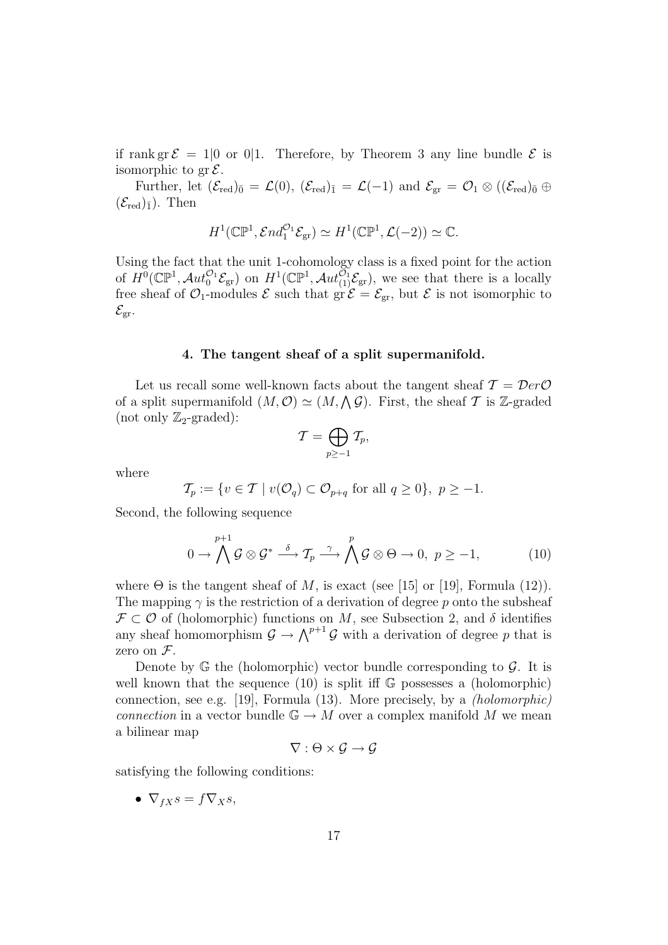if rank gr  $\mathcal{E} = 10$  or 0.1. Therefore, by Theorem 3 any line bundle  $\mathcal{E}$  is isomorphic to  $gr \mathcal{E}$ .

Further, let  $(\mathcal{E}_{red})_{\bar{0}} = \mathcal{L}(0),$   $(\mathcal{E}_{red})_{\bar{1}} = \mathcal{L}(-1)$  and  $\mathcal{E}_{gr} = \mathcal{O}_1 \otimes ((\mathcal{E}_{red})_{\bar{0}} \oplus$  $(\mathcal{E}_{\text{red}})_{\bar{1}}$ ). Then

$$
H^1(\mathbb{CP}^1, \mathcal{E}nd_1^{\mathcal{O}_1}\mathcal{E}_{\text{gr}}) \simeq H^1(\mathbb{CP}^1, \mathcal{L}(-2)) \simeq \mathbb{C}.
$$

Using the fact that the unit 1-cohomology class is a fixed point for the action of  $H^0(\mathbb{CP}^1, \mathcal{A}ut_0^{\mathcal{O}_1}\mathcal{E}_{gr})$  on  $H^1(\mathbb{CP}^1, \mathcal{A}ut_{(1)}^{\mathcal{O}_1}\mathcal{E}_{gr})$ , we see that there is a locally free sheaf of  $\mathcal{O}_1$ -modules  $\mathcal E$  such that  $\overline{\text{gr}} \mathcal E = \mathcal E_{\text{gr}}$ , but  $\mathcal E$  is not isomorphic to  $\mathcal{E}_{\text{gr}}$ .

#### 4. The tangent sheaf of a split supermanifold.

Let us recall some well-known facts about the tangent sheaf  $\mathcal{T} = \mathcal{D}er\mathcal{O}$ Let us recall some well-known facts about the tangent sheaf  $T = Derc$ <br>of a split supermanifold  $(M, \mathcal{O}) \simeq (M, \Lambda \mathcal{G})$ . First, the sheaf  $T$  is Z-graded (not only  $\mathbb{Z}_2$ -graded):  $\overline{a}$ 

$$
\mathcal{T}=\bigoplus_{p\geq -1}\mathcal{T}_p,
$$

where

$$
\mathcal{T}_p := \{ v \in \mathcal{T} \mid v(\mathcal{O}_q) \subset \mathcal{O}_{p+q} \text{ for all } q \ge 0 \}, \ p \ge -1.
$$

Second, the following sequence

$$
0 \to \bigwedge^{p+1} \mathcal{G} \otimes \mathcal{G}^* \stackrel{\delta}{\longrightarrow} \mathcal{T}_p \stackrel{\gamma}{\longrightarrow} \bigwedge^p \mathcal{G} \otimes \Theta \to 0, \ p \ge -1, \tag{10}
$$

where  $\Theta$  is the tangent sheaf of M, is exact (see [15] or [19], Formula (12)). The mapping  $\gamma$  is the restriction of a derivation of degree p onto the subsheaf  $\mathcal{F} \subset \mathcal{O}$  of (holomorphic) functions on M, see Subsection 2, and  $\delta$  identifies any sheaf homomorphism  $\mathcal{G} \to \bigwedge^{p+1} \mathcal{G}$  with a derivation of degree p that is zero on  $\mathcal{F}.$ 

Denote by  $\mathbb{G}$  the (holomorphic) vector bundle corresponding to  $\mathcal{G}$ . It is well known that the sequence  $(10)$  is split iff  $\mathbb{G}$  possesses a (holomorphic) connection, see e.g. [19], Formula (13). More precisely, by a (holomorphic) connection in a vector bundle  $\mathbb{G} \to M$  over a complex manifold M we mean a bilinear map

$$
\nabla:\Theta\times\mathcal{G}\to\mathcal{G}
$$

satisfying the following conditions:

•  $\nabla_{fX} s = f \nabla_X s,$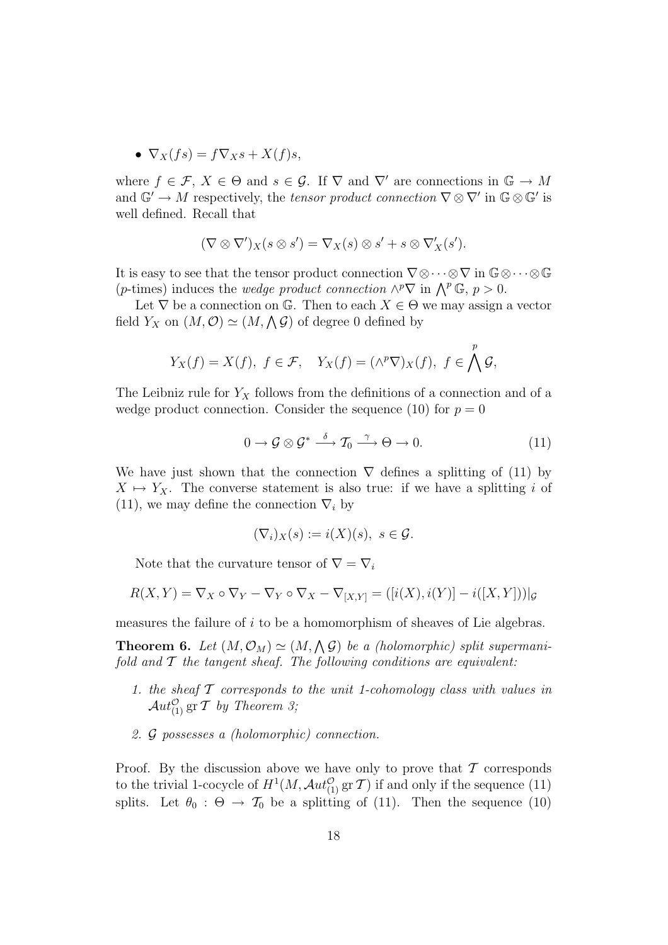• 
$$
\nabla_X(fs) = f\nabla_X s + X(f)s,
$$

where  $f \in \mathcal{F}, X \in \Theta$  and  $s \in \mathcal{G}$ . If  $\nabla$  and  $\nabla'$  are connections in  $\mathbb{G} \to M$ and  $\mathbb{G}' \to M$  respectively, the tensor product connection  $\nabla \otimes \nabla'$  in  $\mathbb{G} \otimes \mathbb{G}'$  is well defined. Recall that

$$
(\nabla \otimes \nabla')_X(s \otimes s') = \nabla_X(s) \otimes s' + s \otimes \nabla'_X(s').
$$

It is easy to see that the tensor product connection  $\nabla \otimes \cdots \otimes \nabla$  in  $\mathbb{G} \otimes \cdots \otimes \mathbb{G}$ The star as the connection  $V \otimes \cdots \otimes V$  in  $\mathbb{Q} \otimes (p\text{-times})$  induces the *wedge product connection*  $\wedge^p \nabla$  in  $\wedge^p \mathbb{G}, p > 0$ .

Let  $\nabla$  be a connection on G. Then to each  $X \in \Theta$  we may assign a vector Let  $V$  be a connection on  $\mathbb{G}$ . Then to each  $\Lambda \in \mathfrak{S}$ <br>field  $Y_X$  on  $(M, \mathcal{O}) \simeq (M, \Lambda \mathcal{G})$  of degree 0 defined by

$$
Y_X(f) = X(f), f \in \mathcal{F}, Y_X(f) = (\wedge^p \nabla)_X(f), f \in \bigwedge^p \mathcal{G},
$$

The Leibniz rule for  $Y_X$  follows from the definitions of a connection and of a wedge product connection. Consider the sequence (10) for  $p = 0$ 

$$
0 \to \mathcal{G} \otimes \mathcal{G}^* \stackrel{\delta}{\longrightarrow} \mathcal{T}_0 \stackrel{\gamma}{\longrightarrow} \Theta \to 0. \tag{11}
$$

We have just shown that the connection  $\nabla$  defines a splitting of (11) by  $X \mapsto Y_X$ . The converse statement is also true: if we have a splitting i of (11), we may define the connection  $\nabla_i$  by

$$
(\nabla_i)_X(s) := i(X)(s), \ s \in \mathcal{G}.
$$

Note that the curvature tensor of  $\nabla = \nabla_i$ 

$$
R(X,Y) = \nabla_X \circ \nabla_Y - \nabla_Y \circ \nabla_X - \nabla_{[X,Y]} = ([i(X), i(Y)] - i([X,Y]))|_{\mathcal{G}}
$$

measures the failure of i to be a homomorphism of sheaves of Lie algebras.

**Theorem 6.** Let  $(M, \mathcal{O}_M) \simeq (M, \Lambda \mathcal{G})$  be a (holomorphic) split supermanifold and  $T$  the tangent sheaf. The following conditions are equivalent:

- 1. the sheaf  $\mathcal T$  corresponds to the unit 1-cohomology class with values in  $\mathcal{A}ut_{(1)}^{\mathcal{O}}$  gr  $\mathcal T$  by Theorem 3;
- 2. G possesses a (holomorphic) connection.

Proof. By the discussion above we have only to prove that  $\mathcal T$  corresponds to the trivial 1-cocycle of  $H^1(M, \mathcal{A}ut_{(1)}^{\mathcal{O}} \operatorname{gr} \mathcal{T})$  if and only if the sequence (11) splits. Let  $\theta_0 : \Theta \to \mathcal{T}_0$  be a splitting of (11). Then the sequence (10)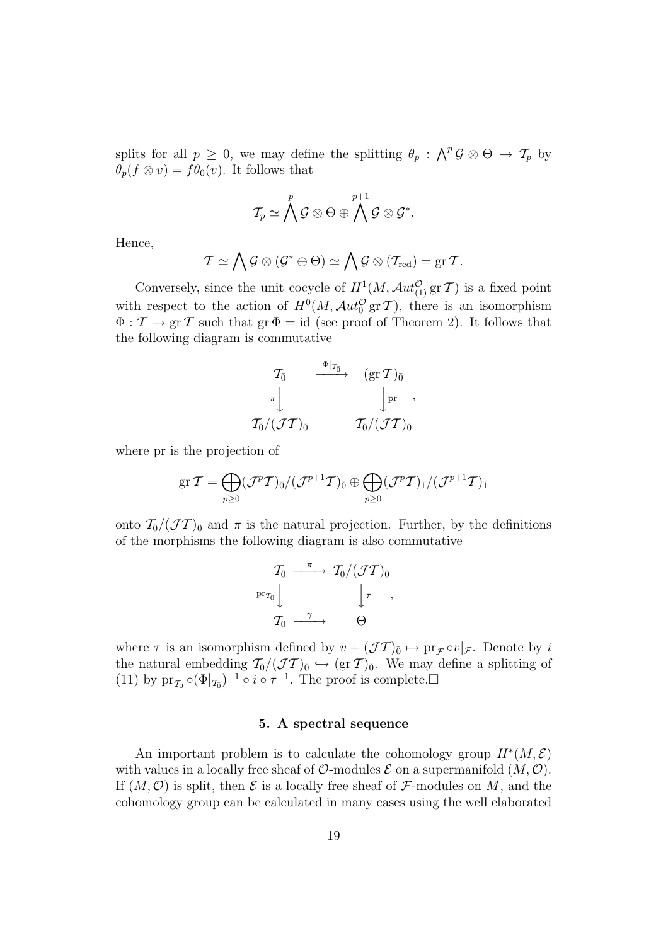splits for all  $p \geq 0$ , we may define the splitting  $\theta_p : \bigwedge^p \mathcal{G} \otimes \Theta \to \mathcal{T}_p$  by  $\theta_p(f \otimes v) = f\theta_0(v)$ . It follows that

$$
\mathcal{T}_p \simeq \bigwedge^p \mathcal{G} \otimes \Theta \oplus \bigwedge^{p+1} \mathcal{G} \otimes \mathcal{G}^*.
$$

Hence,

$$
\mathcal{T} \simeq \bigwedge \mathcal{G} \otimes (\mathcal{G}^* \oplus \Theta) \simeq \bigwedge \mathcal{G} \otimes (\mathcal{T}_{\text{red}}) = \text{gr} \, \mathcal{T}.
$$

Conversely, since the unit cocycle of  $H^1(M, \mathcal{A}ut_{(1)}^{\mathcal{O}}\mathop{\mathrm{gr}}\nolimits \mathcal{T})$  is a fixed point with respect to the action of  $H^0(M, \mathcal{A}ut_0^{\mathcal{O}}\text{ gr }T)$ , there is an isomorphism  $\Phi : \mathcal{T} \to \text{gr } \mathcal{T}$  such that  $\text{gr } \Phi = \text{id}$  (see proof of Theorem 2). It follows that the following diagram is commutative

$$
\begin{array}{ccccc}\n\mathcal{T}_{\bar{0}} & \xrightarrow{\Phi|_{\mathcal{T}_{\bar{0}}}} & (\operatorname{gr} \mathcal{T})_{\bar{0}} \\
\pi & & \downarrow \qquad & \downarrow \operatorname{pr} \\
\mathcal{T}_{\bar{0}}/(\mathcal{J} \mathcal{T})_{\bar{0}} & \xrightarrow{\hspace{1.5cm}} & \mathcal{T}_{\bar{0}}/(\mathcal{J} \mathcal{T})_{\bar{0}}\n\end{array}
$$

where pr is the projection of

$$
\operatorname{gr} {\mathcal T}=\bigoplus_{p\geq 0}({\mathcal J}^p{\mathcal T})_{\bar{0}}/({\mathcal J}^{p+1}{\mathcal T})_{\bar{0}}\oplus\bigoplus_{p\geq 0}({\mathcal J}^p{\mathcal T})_{\bar{1}}/({\mathcal J}^{p+1}{\mathcal T})_{\bar{1}}
$$

onto  $\mathcal{T}_{\bar{0}}/(\mathcal{J}\mathcal{T})_{\bar{0}}$  and  $\pi$  is the natural projection. Further, by the definitions of the morphisms the following diagram is also commutative

$$
\begin{array}{ccc}\nT_{\bar{0}} & \xrightarrow{\pi} & T_{\bar{0}}/(\mathcal{J}\mathcal{T})_{\bar{0}} \\
\operatorname{pr}_{\mathcal{T}_0} & & \downarrow{\tau} \\
T_{0} & \xrightarrow{\gamma} & \Theta\n\end{array}
$$

where  $\tau$  is an isomorphism defined by  $v + (\mathcal{J}\mathcal{T})_0 \mapsto \text{pr}_{\mathcal{F}} \circ v|_{\mathcal{F}}$ . Denote by i the natural embedding  $\mathcal{T}_{\bar{0}}/(\mathcal{J}\mathcal{T})_{\bar{0}} \hookrightarrow (\text{gr }\mathcal{T})_{\bar{0}}$ . We may define a splitting of (11) by  $\mathrm{pr}_{\mathcal{I}_0} \circ (\Phi|_{\mathcal{I}_0})^{-1} \circ i \circ \tau^{-1}$ . The proof is complete.

#### 5. A spectral sequence

An important problem is to calculate the cohomology group  $H^*(M, \mathcal{E})$ with values in a locally free sheaf of  $\mathcal{O}\text{-modules } \mathcal{E}$  on a supermanifold  $(M, \mathcal{O})$ . If  $(M, \mathcal{O})$  is split, then  $\mathcal E$  is a locally free sheaf of  $\mathcal F$ -modules on M, and the cohomology group can be calculated in many cases using the well elaborated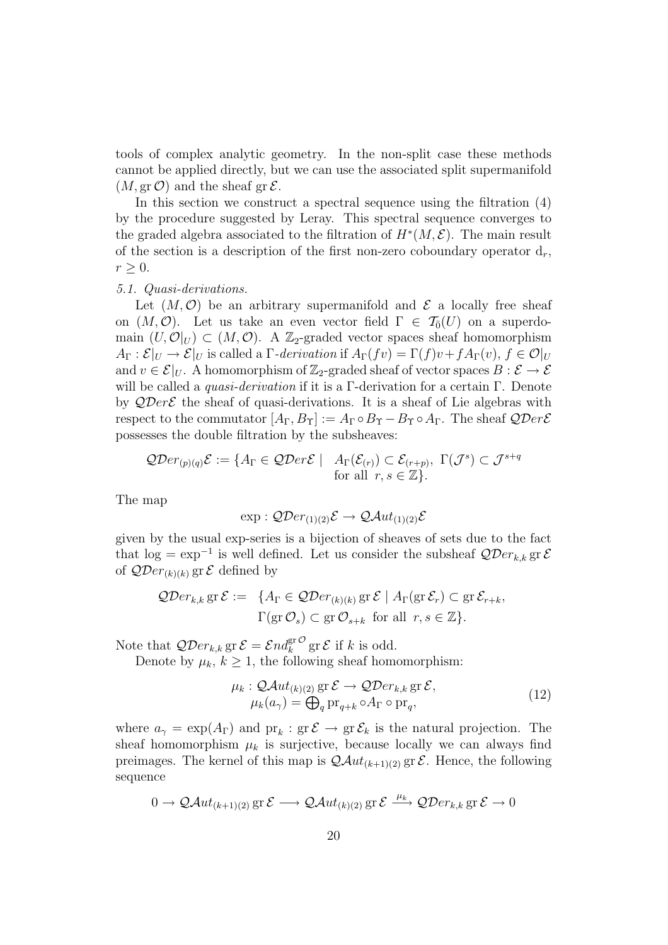tools of complex analytic geometry. In the non-split case these methods cannot be applied directly, but we can use the associated split supermanifold  $(M, \text{gr }\mathcal{O})$  and the sheaf gr  $\mathcal{E}.$ 

In this section we construct a spectral sequence using the filtration (4) by the procedure suggested by Leray. This spectral sequence converges to the graded algebra associated to the filtration of  $H^*(M, \mathcal{E})$ . The main result of the section is a description of the first non-zero coboundary operator  $d_r$ ,  $r \geq 0$ .

# 5.1. Quasi-derivations.

Let  $(M, \mathcal{O})$  be an arbitrary supermanifold and  $\mathcal E$  a locally free sheaf on  $(M, \mathcal{O})$ . Let us take an even vector field  $\Gamma \in \mathcal{T}_{\bar{0}}(U)$  on a superdomain  $(U, \mathcal{O}|_U) \subset (M, \mathcal{O})$ . A Z<sub>2</sub>-graded vector spaces sheaf homomorphism  $A_{\Gamma}: \mathcal{E}|_{U} \to \mathcal{E}|_{U}$  is called a  $\Gamma$ -derivation if  $A_{\Gamma}(fv) = \Gamma(f)v + fA_{\Gamma}(v)$ ,  $f \in \mathcal{O}|_{U}$ and  $v \in \mathcal{E}|_U$ . A homomorphism of  $\mathbb{Z}_2$ -graded sheaf of vector spaces  $B : \mathcal{E} \to \mathcal{E}$ will be called a *quasi-derivation* if it is a Γ-derivation for a certain Γ. Denote by  $\mathcal{Q}Der \mathcal{E}$  the sheaf of quasi-derivations. It is a sheaf of Lie algebras with respect to the commutator  $[A_{\Gamma}, B_{\Upsilon}] := A_{\Gamma} \circ B_{\Upsilon} - B_{\Upsilon} \circ A_{\Gamma}$ . The sheaf  $\mathcal{Q}Der \mathcal{E}$ possesses the double filtration by the subsheaves:

$$
\mathcal{Q}Der_{(p)(q)}\mathcal{E} := \{A_{\Gamma} \in \mathcal{Q}Der\mathcal{E} \mid A_{\Gamma}(\mathcal{E}_{(r)}) \subset \mathcal{E}_{(r+p)}, \ \Gamma(\mathcal{J}^s) \subset \mathcal{J}^{s+q} \text{for all } r, s \in \mathbb{Z}\}.
$$

The map

$$
\exp: \mathcal{Q}Der_{(1)(2)}\mathcal{E} \to \mathcal{Q}Aut_{(1)(2)}\mathcal{E}
$$

given by the usual exp-series is a bijection of sheaves of sets due to the fact that  $\log = \exp^{-1}$  is well defined. Let us consider the subsheaf  $\mathcal{Q}Der_{k,k}$  gr $\mathcal{E}$ of  $\mathcal{Q}Der_{(k)(k)}$  gr  $\mathcal E$  defined by

$$
\mathcal{Q}Der_{k,k} \operatorname{gr} \mathcal{E} := \{ A_{\Gamma} \in \mathcal{Q}Der_{(k)(k)} \operatorname{gr} \mathcal{E} \mid A_{\Gamma}(\operatorname{gr} \mathcal{E}_r) \subset \operatorname{gr} \mathcal{E}_{r+k}, \Gamma(\operatorname{gr} \mathcal{O}_s) \subset \operatorname{gr} \mathcal{O}_{s+k} \text{ for all } r, s \in \mathbb{Z} \}.
$$

Note that  $\mathcal{Q}Der_{k,k}$  gr $\mathcal{E}=\mathcal{E}nd_k^{\text{gr}\mathcal{O}}$  gr $\mathcal{E}$  if k is odd.

Denote by  $\mu_k$ ,  $k \geq 1$ , the following sheaf homomorphism:

$$
\mu_k : \mathcal{Q}Aut_{(k)(2)} \operatorname{gr} \mathcal{E} \to \mathcal{Q}Der_{k,k} \operatorname{gr} \mathcal{E},
$$
  
\n
$$
\mu_k(a_\gamma) = \bigoplus_{q} \operatorname{pr}_{q+k} \circ A_{\Gamma} \circ \operatorname{pr}_q,
$$
\n(12)

where  $a_{\gamma} = \exp(A_{\Gamma})$  and  ${\rm pr}_k : {\rm gr} \mathcal{E} \to {\rm gr} \mathcal{E}_k$  is the natural projection. The sheaf homomorphism  $\mu_k$  is surjective, because locally we can always find preimages. The kernel of this map is  $\mathcal{Q}Aut_{(k+1)(2)}$  gr  $\mathcal{E}$ . Hence, the following sequence

$$
0 \to \mathcal{Q}\mathcal{A}ut_{(k+1)(2)} \operatorname{gr} \mathcal{E} \longrightarrow \mathcal{Q}\mathcal{A}ut_{(k)(2)} \operatorname{gr} \mathcal{E} \xrightarrow{\mu_k} \mathcal{Q}\mathcal{D}er_{k,k} \operatorname{gr} \mathcal{E} \to 0
$$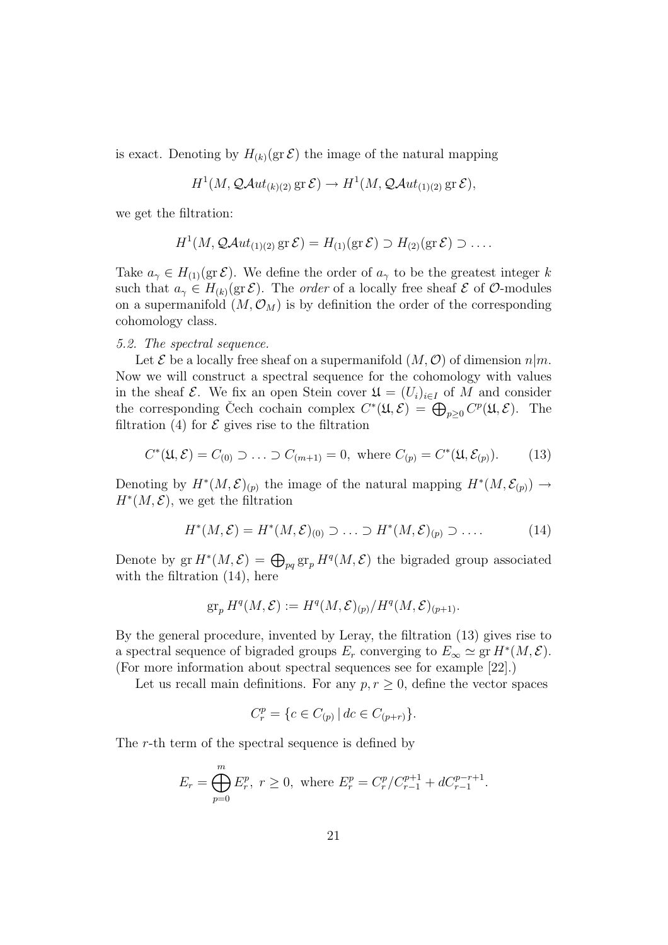is exact. Denoting by  $H_{k}(gr \mathcal{E})$  the image of the natural mapping

$$
H^1(M, \mathcal{Q}Aut_{(k)(2)} \text{ gr } \mathcal{E}) \to H^1(M, \mathcal{Q}Aut_{(1)(2)} \text{ gr } \mathcal{E}),
$$

we get the filtration:

$$
H^1(M, \mathcal{Q}Aut_{(1)(2)} \operatorname{gr} \mathcal{E}) = H_{(1)}(\operatorname{gr} \mathcal{E}) \supset H_{(2)}(\operatorname{gr} \mathcal{E}) \supset \dots
$$

Take  $a_{\gamma} \in H_{(1)}(\text{gr }\mathcal{E})$ . We define the order of  $a_{\gamma}$  to be the greatest integer k such that  $a_{\gamma} \in H_{(k)}(\text{gr }\mathcal{E})$ . The *order* of a locally free sheaf  $\mathcal E$  of  $\mathcal O$ -modules on a supermanifold  $(M, \mathcal{O}_M)$  is by definition the order of the corresponding cohomology class.

# 5.2. The spectral sequence.

Let  $\mathcal E$  be a locally free sheaf on a supermanifold  $(M, \mathcal O)$  of dimension  $n|m$ . Now we will construct a spectral sequence for the cohomology with values in the sheaf  $\mathcal{E}$ . We fix an open Stein cover  $\mathfrak{U} = (U_i)_{i \in I}$  of M and consider the corresponding Čech cochain complex  $C^*(\mathfrak{U}, \mathcal{E}) = \bigoplus_{p \geq 0} C^p(\mathfrak{U}, \mathcal{E})$ . The filtration (4) for  $\mathcal E$  gives rise to the filtration

$$
C^*(\mathfrak{U}, \mathcal{E}) = C_{(0)} \supset \ldots \supset C_{(m+1)} = 0
$$
, where  $C_{(p)} = C^*(\mathfrak{U}, \mathcal{E}_{(p)})$ . (13)

Denoting by  $H^*(M, \mathcal{E})_{(p)}$  the image of the natural mapping  $H^*(M, \mathcal{E}_{(p)}) \to$  $H^*(M, \mathcal{E})$ , we get the filtration

$$
H^*(M,\mathcal{E}) = H^*(M,\mathcal{E})_{(0)} \supset \ldots \supset H^*(M,\mathcal{E})_{(p)} \supset \ldots
$$
 (14)

Denote by  $\operatorname{gr} H^*(M,\mathcal{E}) = \bigoplus_{pq} \operatorname{gr}_p H^q(M,\mathcal{E})$  the bigraded group associated with the filtration  $(14)$ , here

$$
\operatorname{gr}_p H^q(M,\mathcal{E}) := H^q(M,\mathcal{E})_{(p)}/H^q(M,\mathcal{E})_{(p+1)}.
$$

By the general procedure, invented by Leray, the filtration (13) gives rise to a spectral sequence of bigraded groups  $E_r$  converging to  $E_\infty \simeq \text{gr } H^*(M, \mathcal{E})$ . (For more information about spectral sequences see for example [22].)

Let us recall main definitions. For any  $p, r \geq 0$ , define the vector spaces

$$
C_r^p = \{ c \in C_{(p)} \, | \, dc \in C_{(p+r)} \}.
$$

The r-th term of the spectral sequence is defined by

$$
E_r = \bigoplus_{p=0}^{m} E_r^p, \ r \ge 0, \text{ where } E_r^p = C_r^p / C_{r-1}^{p+1} + d C_{r-1}^{p-r+1}.
$$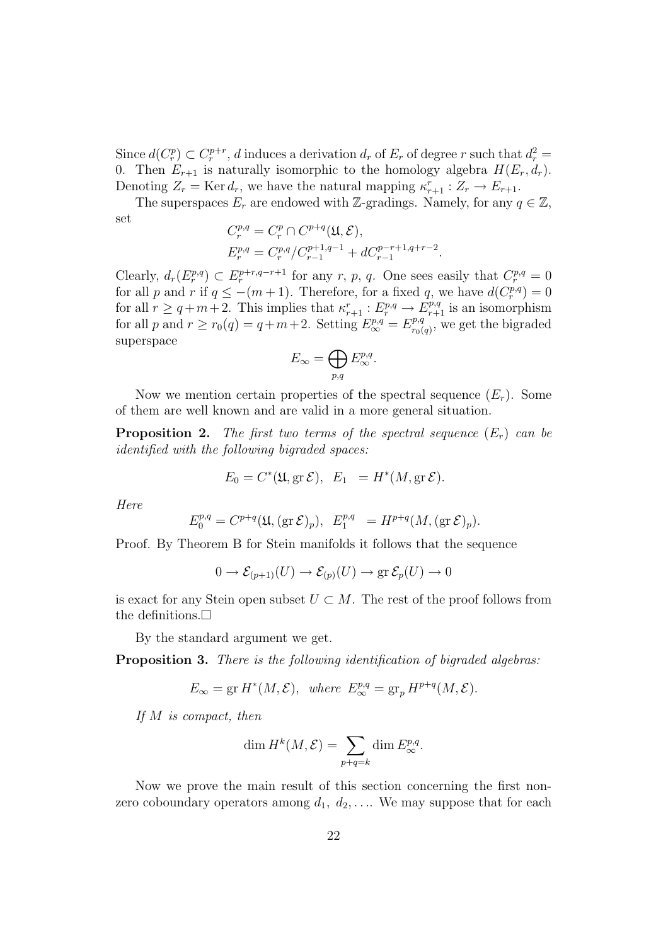Since  $d(C_r^p) \subset C_r^{p+r}$ , d induces a derivation  $d_r$  of  $E_r$  of degree r such that  $d_r^2 =$ 0. Then  $E_{r+1}$  is naturally isomorphic to the homology algebra  $H(E_r, d_r)$ . Denoting  $Z_r = \text{Ker } d_r$ , we have the natural mapping  $\kappa_{r+1}^r : Z_r \to E_{r+1}$ .

The superspaces  $E_r$  are endowed with Z-gradings. Namely, for any  $q \in \mathbb{Z}$ , set  $\alpha$ <sup>+ $\alpha$ </sup>

$$
C_r^{p,q} = C_r^p \cap C^{p+q}(\mathfrak{U}, \mathcal{E}),
$$
  
\n
$$
E_r^{p,q} = C_r^{p,q} / C_{r-1}^{p+1,q-1} + d C_{r-1}^{p-r+1,q+r-2}.
$$

Clearly,  $d_r(E_r^{p,q}) \subset E_r^{p+r,q-r+1}$  for any r, p, q. One sees easily that  $C_r^{p,q} = 0$ for all p and r if  $q \leq -(m+1)$ . Therefore, for a fixed q, we have  $d(C_r^{p,q}) = 0$ for all  $r \geq q+m+2$ . This implies that  $\kappa_{r+1}^r : E_r^{p,q} \to E_{r+1}^{p,q}$  is an isomorphism for all p and  $r \ge r_0(q) = q+m+2$ . Setting  $E^{p,q}_{\infty} = E^{p,q}_{r_0(q)}$  $r_{0}(q)$ , we get the bigraded superspace  $\sim$ 

$$
E_{\infty} = \bigoplus_{p,q} E_{\infty}^{p,q}.
$$

Now we mention certain properties of the spectral sequence  $(E_r)$ . Some of them are well known and are valid in a more general situation.

**Proposition 2.** The first two terms of the spectral sequence  $(E_r)$  can be identified with the following bigraded spaces:

$$
E_0 = C^*(\mathfrak{U}, \text{gr }\mathcal{E}), \quad E_1 = H^*(M, \text{gr }\mathcal{E}).
$$

Here

$$
E_0^{p,q} = C^{p+q}(\mathfrak{U}, (\text{gr }\mathcal{E})_p), \ E_1^{p,q} = H^{p+q}(M, (\text{gr }\mathcal{E})_p).
$$

Proof. By Theorem B for Stein manifolds it follows that the sequence

$$
0 \to \mathcal{E}_{(p+1)}(U) \to \mathcal{E}_{(p)}(U) \to \text{gr } \mathcal{E}_p(U) \to 0
$$

is exact for any Stein open subset  $U \subset M$ . The rest of the proof follows from the definitions. $\Box$ 

By the standard argument we get.

Proposition 3. There is the following identification of bigraded algebras:

$$
E_{\infty} = \text{gr } H^*(M, \mathcal{E}), \text{ where } E_{\infty}^{p,q} = \text{gr}_p H^{p+q}(M, \mathcal{E}).
$$

If M is compact, then

$$
\dim H^k(M,\mathcal{E}) = \sum_{p+q=k} \dim E_{\infty}^{p,q}.
$$

Now we prove the main result of this section concerning the first nonzero coboundary operators among  $d_1, d_2, \ldots$  We may suppose that for each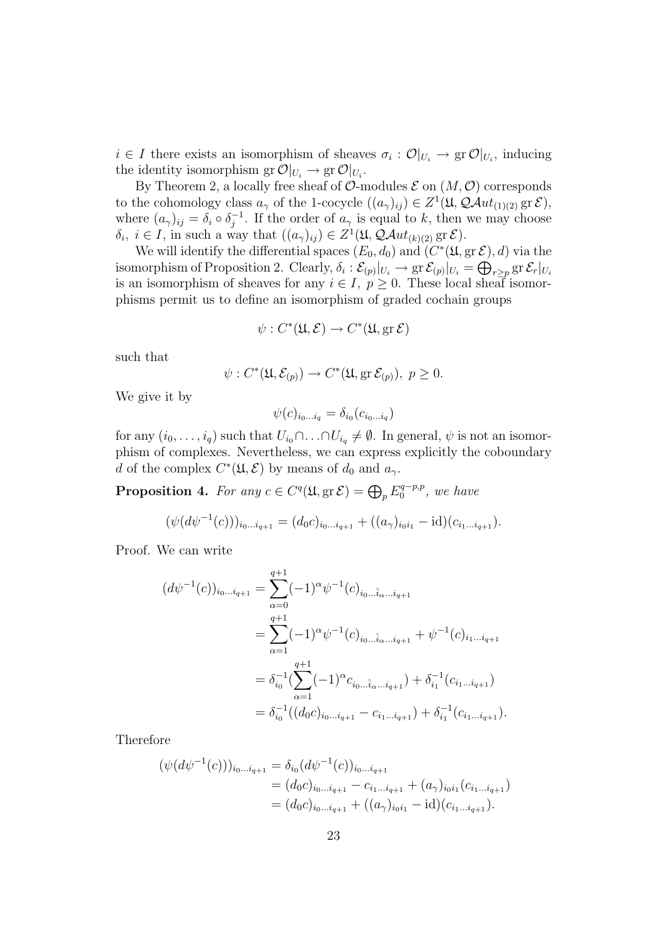$i \in I$  there exists an isomorphism of sheaves  $\sigma_i : \mathcal{O}|_{U_i} \to \text{gr } \mathcal{O}|_{U_i}$ , inducing the identity isomorphism  $gr \mathcal{O}|_{U_i} \to gr \mathcal{O}|_{U_i}$ .

By Theorem 2, a locally free sheaf of  $\mathcal{O}\text{-modules } \mathcal{E}$  on  $(M, \mathcal{O})$  corresponds to the cohomology class  $a_{\gamma}$  of the 1-cocycle  $((a_{\gamma})_{ij}) \in Z^{1}(\mathfrak{U}, \mathcal{Q}Aut_{(1)(2)} \text{ gr } \mathcal{E}),$ where  $(a_{\gamma})_{ij} = \delta_i \circ \delta_i^{-1}$  $j^{-1}$ . If the order of  $a_{\gamma}$  is equal to k, then we may choose  $\delta_i, i \in I$ , in such a way that  $((a_{\gamma})_{ij}) \in Z^1(\mathfrak{U}, \mathcal{Q}Aut_{(k)(2)} \text{ gr } \mathcal{E}).$ 

We will identify the differential spaces  $(E_0, d_0)$  and  $(C^*(\mathfrak{U}, \text{gr\,} \mathcal{E}), d)$  via the isomorphism of Proposition 2. Clearly,  $\delta_i : \mathcal{E}_{(p)}|_{U_i} \to \text{gr } \mathcal{E}_{(p)}|_{U_i} = \bigoplus_{r \geq p} \text{gr } \mathcal{E}_r|_{U_i}$ is an isomorphism of sheaves for any  $i \in I$ ,  $p \geq 0$ . These local shear isomorphisms permit us to define an isomorphism of graded cochain groups

$$
\psi: C^*(\mathfrak{U}, \mathcal{E}) \to C^*(\mathfrak{U}, \text{gr } \mathcal{E})
$$

such that

$$
\psi: C^*(\mathfrak{U}, \mathcal{E}_{(p)}) \to C^*(\mathfrak{U}, \operatorname{gr} \mathcal{E}_{(p)}), \ p \ge 0.
$$

We give it by

$$
\psi(c)_{i_0...i_q} = \delta_{i_0}(c_{i_0...i_q})
$$

for any  $(i_0, \ldots, i_q)$  such that  $U_{i_0} \cap \ldots \cap U_{i_q} \neq \emptyset$ . In general,  $\psi$  is not an isomorphism of complexes. Nevertheless, we can express explicitly the coboundary d of the complex  $C^*(\mathfrak{U}, \mathcal{E})$  by means of  $d_0$  and  $a_\gamma$ .

**Proposition 4.** For any  $c \in C<sup>q</sup>(\mathfrak{U}, \text{gr } \mathcal{E}) = \bigoplus_{p} E_0^{q-p,p}$  $\binom{q-p,p}{0}$ , we have

$$
(\psi(d\psi^{-1}(c)))_{i_0...i_{q+1}} = (d_0c)_{i_0...i_{q+1}} + ((a_{\gamma})_{i_0i_1} - \mathrm{id})(c_{i_1...i_{q+1}}).
$$

Proof. We can write

$$
(d\psi^{-1}(c))_{i_0...i_{q+1}} = \sum_{\alpha=0}^{q+1} (-1)^{\alpha} \psi^{-1}(c)_{i_0...i_{\alpha}...i_{q+1}}
$$
  
= 
$$
\sum_{\alpha=1}^{q+1} (-1)^{\alpha} \psi^{-1}(c)_{i_0...i_{\alpha}...i_{q+1}} + \psi^{-1}(c)_{i_1...i_{q+1}}
$$
  
= 
$$
\delta_{i_0}^{-1} (\sum_{\alpha=1}^{q+1} (-1)^{\alpha} c_{i_0...i_{\alpha}...i_{q+1}}) + \delta_{i_1}^{-1} (c_{i_1...i_{q+1}})
$$
  
= 
$$
\delta_{i_0}^{-1} ((d_0 c)_{i_0...i_{q+1}} - c_{i_1...i_{q+1}}) + \delta_{i_1}^{-1} (c_{i_1...i_{q+1}}).
$$

Therefore

$$
\begin{aligned} (\psi(d\psi^{-1}(c)))_{i_0\ldots i_{q+1}} &= \delta_{i_0}(d\psi^{-1}(c))_{i_0\ldots i_{q+1}} \\ &= (d_0c)_{i_0\ldots i_{q+1}} - c_{i_1\ldots i_{q+1}} + (a_\gamma)_{i_0i_1}(c_{i_1\ldots i_{q+1}}) \\ &= (d_0c)_{i_0\ldots i_{q+1}} + ((a_\gamma)_{i_0i_1} - \mathrm{id})(c_{i_1\ldots i_{q+1}}). \end{aligned}
$$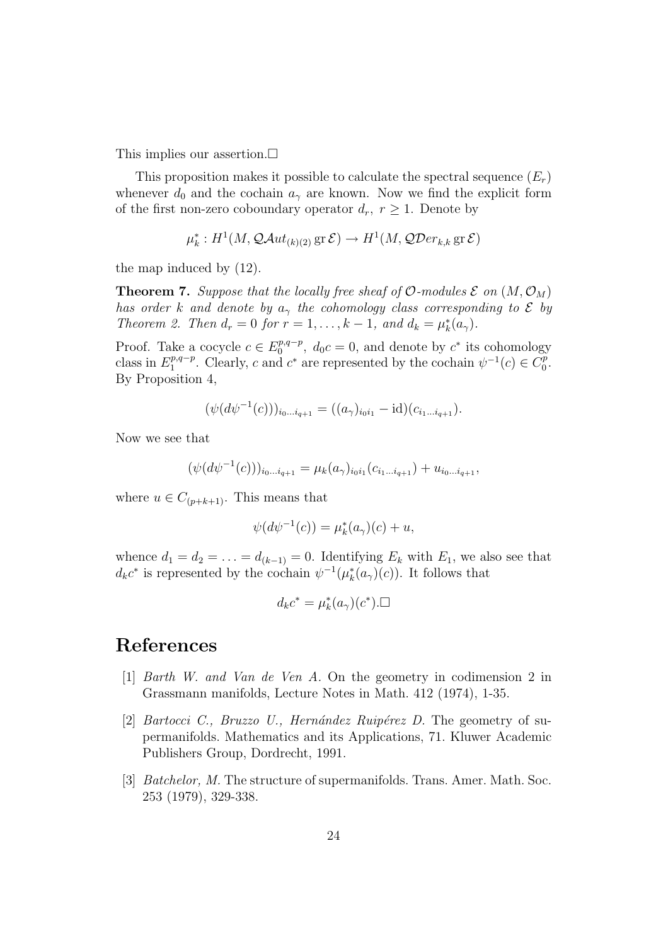This implies our assertion. $\Box$ 

This proposition makes it possible to calculate the spectral sequence  $(E_r)$ whenever  $d_0$  and the cochain  $a_\gamma$  are known. Now we find the explicit form of the first non-zero coboundary operator  $d_r$ ,  $r \geq 1$ . Denote by

$$
\mu_k^* : H^1(M, \mathcal{Q}Aut_{(k)(2)} \operatorname{gr} \mathcal{E}) \to H^1(M, \mathcal{Q}Der_{k,k} \operatorname{gr} \mathcal{E})
$$

the map induced by (12).

**Theorem 7.** Suppose that the locally free sheaf of  $\mathcal{O}\text{-modules } \mathcal{E}$  on  $(M, \mathcal{O}_M)$ has order k and denote by  $a_{\gamma}$  the cohomology class corresponding to  $\mathcal E$  by Theorem 2. Then  $d_r = 0$  for  $r = 1, ..., k - 1$ , and  $d_k = \mu_k^*(a_\gamma)$ .

Proof. Take a cocycle  $c \in E_0^{p,q-p}$  $v_0^{p,q-p}$ ,  $d_0c = 0$ , and denote by  $c^*$  its cohomology class in  $E_1^{p,q-p}$ <sup>p,q-p</sup>. Clearly, c and c<sup>\*</sup> are represented by the cochain  $\psi^{-1}(c) \in C_0^p$  $_0^p.$ By Proposition 4,

$$
(\psi(d\psi^{-1}(c)))_{i_0...i_{q+1}} = ((a_{\gamma})_{i_0i_1} - \mathrm{id})(c_{i_1...i_{q+1}}).
$$

Now we see that

$$
(\psi(d\psi^{-1}(c)))_{i_0...i_{q+1}} = \mu_k(a_{\gamma})_{i_0i_1}(c_{i_1...i_{q+1}}) + u_{i_0...i_{q+1}},
$$

where  $u \in C_{(p+k+1)}$ . This means that

$$
\psi(d\psi^{-1}(c)) = \mu_k^*(a_\gamma)(c) + u,
$$

whence  $d_1 = d_2 = \ldots = d_{(k-1)} = 0$ . Identifying  $E_k$  with  $E_1$ , we also see that  $d_k c^*$  is represented by the cochain  $\psi^{-1}(\mu_k^*(a_\gamma)(c))$ . It follows that

$$
d_k c^* = \mu_k^*(a_\gamma)(c^*).\Box
$$

# References

- [1] Barth W. and Van de Ven A. On the geometry in codimension 2 in Grassmann manifolds, Lecture Notes in Math. 412 (1974), 1-35.
- [2] Bartocci C., Bruzzo U., Hernández Ruipérez D. The geometry of supermanifolds. Mathematics and its Applications, 71. Kluwer Academic Publishers Group, Dordrecht, 1991.
- [3] Batchelor, M. The structure of supermanifolds. Trans. Amer. Math. Soc. 253 (1979), 329-338.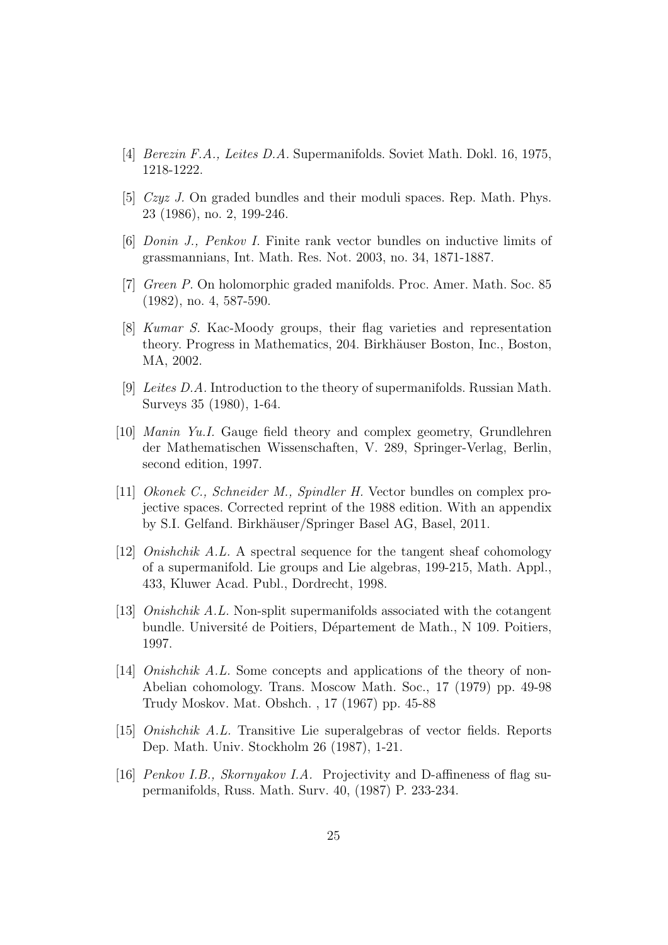- [4] Berezin F.A., Leites D.A. Supermanifolds. Soviet Math. Dokl. 16, 1975, 1218-1222.
- [5] Czyz J. On graded bundles and their moduli spaces. Rep. Math. Phys. 23 (1986), no. 2, 199-246.
- [6] Donin J., Penkov I. Finite rank vector bundles on inductive limits of grassmannians, Int. Math. Res. Not. 2003, no. 34, 1871-1887.
- [7] Green P. On holomorphic graded manifolds. Proc. Amer. Math. Soc. 85 (1982), no. 4, 587-590.
- [8] Kumar S. Kac-Moody groups, their flag varieties and representation theory. Progress in Mathematics, 204. Birkhäuser Boston, Inc., Boston, MA, 2002.
- [9] Leites D.A. Introduction to the theory of supermanifolds. Russian Math. Surveys 35 (1980), 1-64.
- [10] Manin Yu.I. Gauge field theory and complex geometry, Grundlehren der Mathematischen Wissenschaften, V. 289, Springer-Verlag, Berlin, second edition, 1997.
- [11] Okonek C., Schneider M., Spindler H. Vector bundles on complex projective spaces. Corrected reprint of the 1988 edition. With an appendix by S.I. Gelfand. Birkhäuser/Springer Basel AG, Basel, 2011.
- [12] Onishchik A.L. A spectral sequence for the tangent sheaf cohomology of a supermanifold. Lie groups and Lie algebras, 199-215, Math. Appl., 433, Kluwer Acad. Publ., Dordrecht, 1998.
- [13] Onishchik A.L. Non-split supermanifolds associated with the cotangent bundle. Université de Poitiers, Département de Math., N 109. Poitiers, 1997.
- [14] Onishchik A.L. Some concepts and applications of the theory of non-Abelian cohomology. Trans. Moscow Math. Soc., 17 (1979) pp. 49-98 Trudy Moskov. Mat. Obshch. , 17 (1967) pp. 45-88
- [15] Onishchik A.L. Transitive Lie superalgebras of vector fields. Reports Dep. Math. Univ. Stockholm 26 (1987), 1-21.
- [16] Penkov I.B., Skornyakov I.A. Projectivity and D-affineness of flag supermanifolds, Russ. Math. Surv. 40, (1987) P. 233-234.